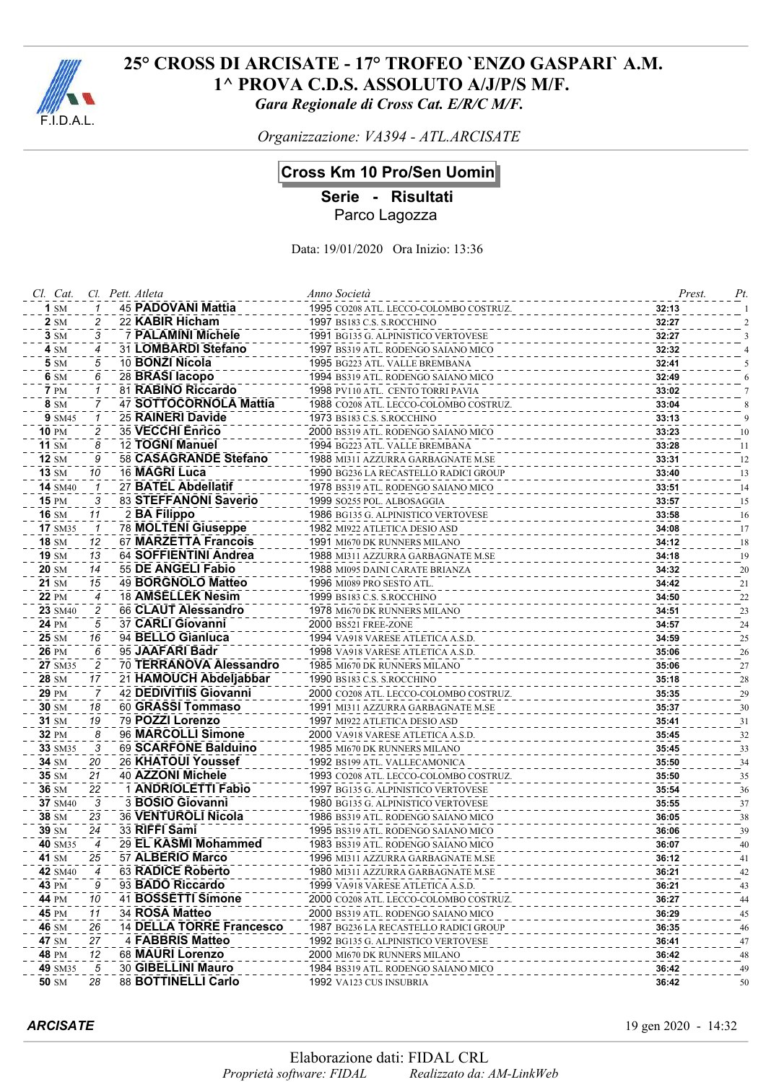

*Organizzazione: VA394 - ATL.ARCISATE*

## **Cross Km 10 Pro/Sen Uomini**

**Serie - Risultati**

Parco Lagozza

Data: 19/01/2020 Ora Inizio: 13:36

| Cl. Cat.         |                | Cl. Pett. Atleta |                                 | Anno Società                           | Prest. | Pt. |
|------------------|----------------|------------------|---------------------------------|----------------------------------------|--------|-----|
| $1 \, \text{SM}$ |                |                  | 45 PADOVANI Mattia              | 1995 CO208 ATL. LECCO-COLOMBO COSTRUZ. | 32:13  |     |
| <b>2</b> SM      | 2              |                  | 22 KABIR Hicham                 | 1997 BS183 C.S. S.ROCCHINO             | 32:27  |     |
| $3 \, \text{SM}$ | 3              |                  | <b>7 PALAMINI Michele</b>       | 1991 BG135 G. ALPINISTICO VERTOVESE    | 32:27  |     |
| 4 SM             | 4              |                  | 31 LOMBARDI Stefano             | 1997 BS319 ATL. RODENGO SAIANO MICO    | 32:32  |     |
| 5 SM             | 5              |                  | 10 BONZI Nicola                 | 1995 BG223 ATL. VALLE BREMBANA         | 32:41  |     |
| 6 SM             | 6              |                  | 28 BRASI lacopo                 | 1994 BS319 ATL. RODENGO SAIANO MICO    | 32:49  |     |
| <b>7</b> PM      | 1              |                  | 81 RABINO Riccardo              | 1998 PV110 ATL. CENTO TORRI PAVIA      | 33:02  |     |
| 8 SM             | 7              |                  | 47 SOTTOCORNOLA Mattia          | 1988 CO208 ATL. LECCO-COLOMBO COSTRUZ. | 33:04  |     |
| <b>9</b> SM45    |                |                  | 25 RAINERI Davide               | 1973 BS183 C.S. S.ROCCHINO             | 33:13  |     |
| 10 PM            | 2              |                  | 35 VECCHI Enrico                | 2000 BS319 ATL. RODENGO SAIANO MICO    | 33:23  | 10  |
| 11 $SM$          | 8              |                  | 12 TOGNI Manuel                 | 1994 BG223 ATL. VALLE BREMBANA         | 33:28  | 11  |
| $12 \text{ SM}$  | 9              |                  | 58 CASAGRANDE Stefano           | 1988 MI311 AZZURRA GARBAGNATE M.SE     | 33:31  | 12  |
| $13 \text{ SM}$  | 10             |                  | 16 MAGRI Luca                   | 1990 BG236 LA RECASTELLO RADICI GROUP  | 33:40  | 13  |
| <b>14</b> SM40   |                |                  | 27 BATEL Abdellatif             | 1978 BS319 ATL. RODENGO SAIANO MICO    | 33:51  | 14  |
| <b>15 PM</b>     | 3              |                  | 83 STEFFANONI Saverio           | 1999 SO255 POL. ALBOSAGGIA             | 33:57  | 15  |
| <b>16 SM</b>     | 11             |                  | 2 BA Filippo                    | 1986 BG135 G. ALPINISTICO VERTOVESE    | 33:58  | 16  |
| <b>17 SM35</b>   | $\mathbf{1}$   |                  | 78 MOLTENI Giuseppe             | 1982 MI922 ATLETICA DESIO ASD          | 34:08  | 17  |
| <b>18 SM</b>     | 12             |                  | 67 MARZETTA Francois            | 1991 MI670 DK RUNNERS MILANO           | 34:12  | 18  |
| 19 SM            | 13             |                  | 64 SOFFIENTINI Andrea           | 1988 MI311 AZZURRA GARBAGNATE M.SE     | 34:18  | 19  |
| 20 SM            | 14             |                  | 55 DE ANGELI Fabio              | 1988 MI095 DAINI CARATE BRIANZA        | 34:32  | 20  |
| 21 SM            | 15             |                  | 49 BORGNOLO Matteo              | 1996 MI089 PRO SESTO ATL.              | 34:42  | 21  |
| <b>22 PM</b>     | 4              |                  | 18 AMSELLEK Nesim               | 1999 BS183 C.S. S.ROCCHINO             | 34:50  | 22  |
| 23 SM40          | 2              |                  | 66 CLAUT Alessandro             | 1978 MI670 DK RUNNERS MILANO           | 34:51  | 23  |
| <b>24 PM</b>     | 5              |                  | 37 CARLI Giovanni               | 2000 BS521 FREE-ZONE                   | 34:57  | 24  |
| 25 SM            | 16             |                  | 94 BELLO Gianluca               | 1994 VA918 VARESE ATLETICA A.S.D.      | 34:59  | 25  |
| <b>26 PM</b>     | 6              |                  | 95 JAAFARI Badr                 | 1998 VA918 VARESE ATLETICA A.S.D.      | 35:06  | 26  |
| 27 SM35          | 2              |                  | 70 TERRANOVA Alessandro         | 1985 MI670 DK RUNNERS MILANO           | 35:06  | 27  |
| 28 SM            | 17             |                  | 21 HAMOUCH Abdeljabbar          | 1990 BS183 C.S. S.ROCCHINO             | 35:18  | 28  |
| <b>29 PM</b>     | 7              |                  | 42 DEDIVITIIS Giovanni          | 2000 CO208 ATL. LECCO-COLOMBO COSTRUZ. | 35:35  | 29  |
| 30 SM            | 18             |                  | 60 GRASSI Tommaso               | 1991 MI311 AZZURRA GARBAGNATE M.SE     | 35:37  | 30  |
| 31 SM            | 19             |                  | 79 POZZI Lorenzo                | 1997 MI922 ATLETICA DESIO ASD          | 35:41  | 31  |
| 32 PM            | 8              |                  | 96 MARCOLLI Simone              | 2000 VA918 VARESE ATLETICA A.S.D.      | 35:45  | 32  |
| 33 SM35          | 3              |                  | 69 SCARFONE Balduino            | 1985 MI670 DK RUNNERS MILANO           | 35:45  | 33  |
| 34 SM            | 20             |                  | 26 KHATOUI Youssef              | 1992 BS199 ATL. VALLECAMONICA          | 35:50  | 34  |
| 35 SM            | 21             |                  | 40 AZZONI Michele               | 1993 CO208 ATL. LECCO-COLOMBO COSTRUZ. | 35:50  | 35  |
| 36 SM            | 22             |                  | 1 ANDRIOLETTI Fabio             | 1997 BG135 G. ALPINISTICO VERTOVESE    | 35:54  | 36  |
| <b>37 SM40</b>   | 3              |                  | 3 BOSIO Giovanni                | 1980 BG135 G. ALPINISTICO VERTOVESE    | 35:55  | 37  |
| 38 SM            | 23             |                  | 36 VENTUROLI Nicola             | 1986 BS319 ATL. RODENGO SAIANO MICO    | 36:05  | 38  |
| 39 SM            | 24             |                  | 33 RIFFI Sami                   | 1995 BS319 ATL. RODENGO SAIANO MICO    | 36:06  | 39  |
| 40 SM35          | $\overline{4}$ |                  | 29 EL KASMI Mohammed            | 1983 BS319 ATL. RODENGO SAIANO MICO    | 36:07  | 40  |
| 41 SM            | 25             |                  | 57 ALBERIO Marco                | 1996 mi311 azzurra garbagnate m.se     | 36:12  | 41  |
| <b>42 SM40</b>   |                |                  | <b>63 RADICE Roberto</b>        | 1980 MI311 AZZURRA GARBAGNATE M.SE     | 36:21  | 42  |
| 43 PM            |                |                  | 93 BADO Riccardo                | 1999 va918 varese atletica a.s.d.      | 36:21  | 43  |
| 44 PM            | 10             |                  | 41 BOSSETTI Simone              | 2000 CO208 ATL. LECCO-COLOMBO COSTRUZ. | 36:27  | 44  |
| <b>45 PM</b>     | 11             |                  | 34 ROSA Matteo                  | 2000 BS319 ATL. RODENGO SAIANO MICO    | 36:29  | 45  |
| 46 SM            | 26             |                  | <b>14 DELLA TORRE Francesco</b> | 1987 BG236 LA RECASTELLO RADICI GROUP  | 36:35  | 46  |
| 47 SM            | 27             |                  | 4 FABBRIS Matteo                | 1992 BG135 G. ALPINISTICO VERTOVESE    | 36:41  | 47  |
| 48 PM            | 12             |                  | 68 MAURI Lorenzo                | 2000 MI670 DK RUNNERS MILANO           | 36:42  | 48  |
| 49 SM35          | 5              |                  | 30 GIBELLINI Mauro              | 1984 BS319 ATL. RODENGO SAIANO MICO    | 36:42  | 49  |
| 50 SM            | 28             |                  | 88 BOTTINELLI Carlo             | 1992 VA123 CUS INSUBRIA                | 36:42  | 50  |
|                  |                |                  |                                 |                                        |        |     |

*ARCISATE* 19 gen 2020 - 14:32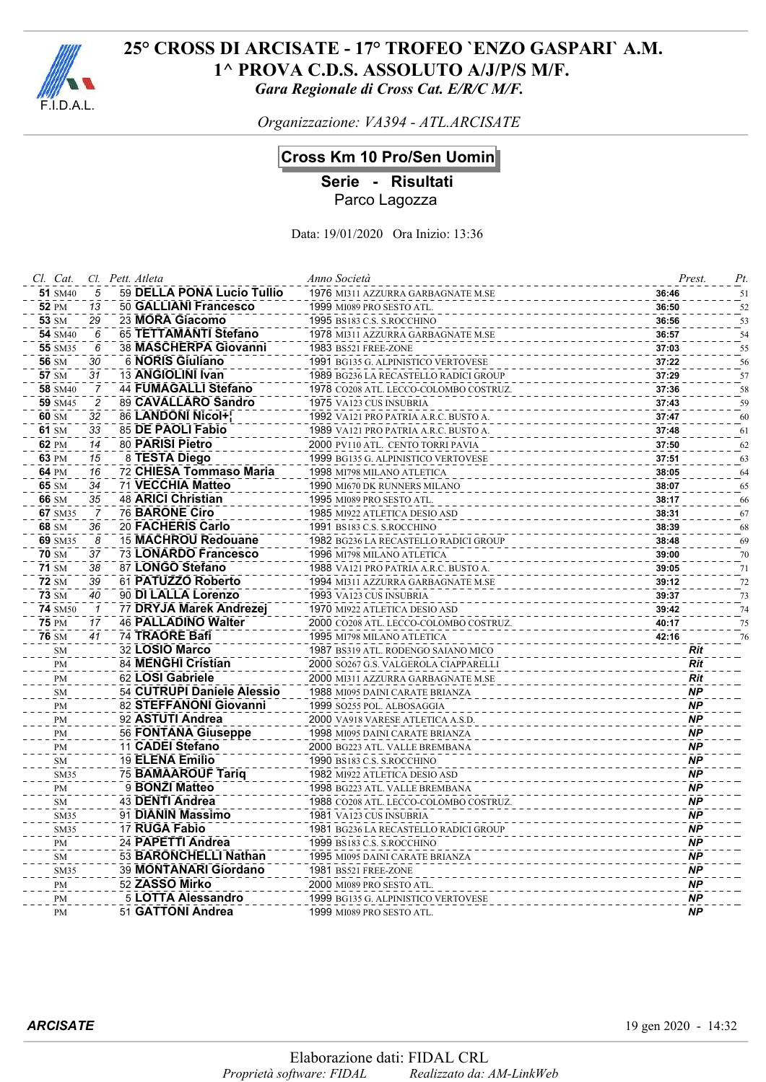

*Organizzazione: VA394 - ATL.ARCISATE*

# **Cross Km 10 Pro/Sen Uomini**

**Serie - Risultati** Parco Lagozza

| Cl. Cat.       |                         | Cl. Pett. Atleta |                            | Anno Società                           | Prest.    | Pt. |
|----------------|-------------------------|------------------|----------------------------|----------------------------------------|-----------|-----|
| 51 SM40        | 5                       |                  | 59 DELLA PONA Lucio Tullio | 1976 MI311 AZZURRA GARBAGNATE M.SE     | 36:46     | 51  |
| <b>52 PM</b>   | 13                      |                  | 50 GALLIANI Francesco      | 1999 MI089 PRO SESTO ATL.              | 36:50     | 52  |
| 53 SM          | 29                      |                  | 23 MORA Giacomo            | 1995 BS183 C.S. S.ROCCHINO             | 36:56     | 53  |
| <b>54</b> SM40 | 6                       |                  | 65 TETTAMANTI Stefano      | 1978 MI311 AZZURRA GARBAGNATE M.SE     | 36:57     | 54  |
| 55 SM35        | 6                       |                  | 38 MASCHERPA Giovanni      | 1983 BS521 FREE-ZONE                   | 37:03     | 55  |
| 56 SM          | 30                      |                  | 6 NORIS Giuliano           | 1991 BG135 G. ALPINISTICO VERTOVESE    | 37:22     | 56  |
| 57 SM          | 31                      |                  | 13 ANGIOLINI Ivan          | 1989 BG236 LA RECASTELLO RADICI GROUP  | 37:29     | 57  |
| 58 SM40        | 7                       |                  | 44 FUMAGALLI Stefano       | 1978 CO208 ATL. LECCO-COLOMBO COSTRUZ. | 37:36     | 58  |
| 59 SM45        | $\overline{\mathbf{c}}$ |                  | 89 CAVALLARO Sandro        | 1975 VA123 CUS INSUBRIA                | 37:43     | 59  |
| 60 SM          | 32                      |                  | 86 LANDONI Nicol+!         | 1992 VA121 PRO PATRIA A.R.C. BUSTO A.  | 37:47     | 60  |
| 61 SM          | 33                      |                  | 85 DE PAOLI Fabio          | 1989 VA121 PRO PATRIA A.R.C. BUSTO A.  | 37:48     | 61  |
| 62 PM          | 14                      | 80 PARISI Pietro |                            | 2000 PV110 ATL. CENTO TORRI PAVIA      | 37:50     | 62  |
| 63 PM          | 15                      |                  | 8 TESTA Diego              | 1999 BG135 G. ALPINISTICO VERTOVESE    | 37:51     | 63  |
| 64 PM          | 16                      |                  | 72 CHIESA Tommaso Maria    | 1998 MI798 MILANO ATLETICA             | 38:05     | 64  |
| 65 SM          | 34                      |                  | 71 VECCHIA Matteo          | 1990 MI670 DK RUNNERS MILANO           | 38:07     | 65  |
| 66 SM          | 35                      |                  | <b>48 ARICI Christian</b>  | 1995 MI089 PRO SESTO ATL.              | 38:17     | 66  |
| 67 SM35        |                         |                  | <b>76 BARONE Ciro</b>      | 1985 MI922 ATLETICA DESIO ASD          | 38:31     | 67  |
| 68 SM          | 36                      |                  | 20 FACHERIS Carlo          | 1991 BS183 C.S. S.ROCCHINO             | 38:39     | 68  |
| 69 SM35        | 8                       |                  | 15 MACHROU Redouane        | 1982 BG236 LA RECASTELLO RADICI GROUP  | 38:48     | 69  |
| <b>70 SM</b>   | 37                      |                  | 73 LONARDO Francesco       | 1996 MI798 MILANO ATLETICA             | 39:00     | 70  |
| <b>71 SM</b>   | 38                      |                  | 87 LONGO Stefano           | 1988 VA121 PRO PATRIA A.R.C. BUSTO A.  | 39:05     | 71  |
| <b>72 SM</b>   | 39                      |                  | 61 PATUZZO Roberto         | 1994 MI311 AZZURRA GARBAGNATE M.SE     | 39:12     | 72  |
| <b>73 SM</b>   | 40                      |                  | 90 DI LALLA Lorenzo        | 1993 VA123 CUS INSUBRIA                | 39:37     | 73  |
| <b>74 SM50</b> | $\mathcal I$            |                  | 77 DRYJA Marek Andrezej    | 1970 MI922 ATLETICA DESIO ASD          | 39:42     | 74  |
| <b>75 PM</b>   | 17                      |                  | 46 PALLADINO Walter        | 2000 CO208 ATL. LECCO-COLOMBO COSTRUZ. | 40:17     |     |
| <b>76 SM</b>   | 41                      | 74 TRAORE Bafi   |                            |                                        |           | 75  |
|                |                         | 32 LOSIO Marco   |                            | 1995 MI798 MILANO ATLETICA             | 42:16     | 76  |
| SM             |                         |                  | 84 MENGHI Cristian         | 1987 BS319 ATL. RODENGO SAIANO MICO    | Rit       |     |
| PM             |                         |                  | 62 LOSI Gabriele           | 2000 SO267 G.S. VALGEROLA CIAPPARELLI  | Rit       |     |
| PM             |                         |                  |                            | 2000 MI311 AZZURRA GARBAGNATE M.SE     | Rit       |     |
| ${\rm SM}$     |                         |                  | 54 CUTRUPI Daniele Alessio | 1988 MI095 DAINI CARATE BRIANZA        | <b>NP</b> |     |
| PM             |                         |                  | 82 STEFFANONI Giovanni     | 1999 SO255 POL. ALBOSAGGIA             | <b>NP</b> |     |
| PM             |                         |                  | 92 ASTUTI Andrea           | 2000 VA918 VARESE ATLETICA A.S.D.      | <b>NP</b> |     |
| PM             |                         |                  | <b>56 FONTANA Giuseppe</b> | 1998 MI095 DAINI CARATE BRIANZA        | <b>NP</b> |     |
| PM             |                         |                  | 11 CADEI Stefano           | 2000 BG223 ATL. VALLE BREMBANA         | <b>NP</b> |     |
| ${\rm SM}$     |                         |                  | 19 ELENA Emilio            | 1990 BS183 C.S. S.ROCCHINO             | <b>NP</b> |     |
| SM35           |                         |                  | <b>75 BAMAAROUF Tariq</b>  | 1982 MI922 ATLETICA DESIO ASD          | <b>NP</b> |     |
| PM             |                         |                  | 9 BONZI Matteo             | 1998 BG223 ATL. VALLE BREMBANA         | <b>NP</b> |     |
| SM             |                         |                  | 43 DENTI Andrea            | 1988 CO208 ATL. LECCO-COLOMBO COSTRUZ. | <b>NP</b> |     |
| SM35           |                         |                  | 91 DIANIN Massimo          | 1981 VA123 CUS INSUBRIA                | <b>NP</b> |     |
| SM35           |                         | 17 RUGA Fabio    |                            | 1981 BG236 LA RECASTELLO RADICI GROUP  | <b>NP</b> |     |
| PM             |                         |                  | 24 PAPETTI Andrea          | 1999 BS183 C.S. S.ROCCHINO             | <b>NP</b> |     |
| SM             |                         |                  | 53 BARONCHELLI Nathan      | 1995 MI095 DAINI CARATE BRIANZA        | <b>NP</b> |     |
| SM35           |                         |                  | 39 MONTANARI Giordano      | 1981 BS521 FREE-ZONE                   | <b>NP</b> |     |
| PM             |                         | 52 ZASSO Mirko   |                            | 2000 MI089 PRO SESTO ATL               | <b>NP</b> |     |
| PM             |                         |                  | 5 LOTTA Alessandro         | 1999 BG135 G. ALPINISTICO VERTOVESE    | <b>NP</b> |     |
| PM             |                         |                  | 51 GATTONI Andrea          | 1999 MI089 PRO SESTO ATL.              | <b>NP</b> |     |
|                |                         |                  |                            |                                        |           |     |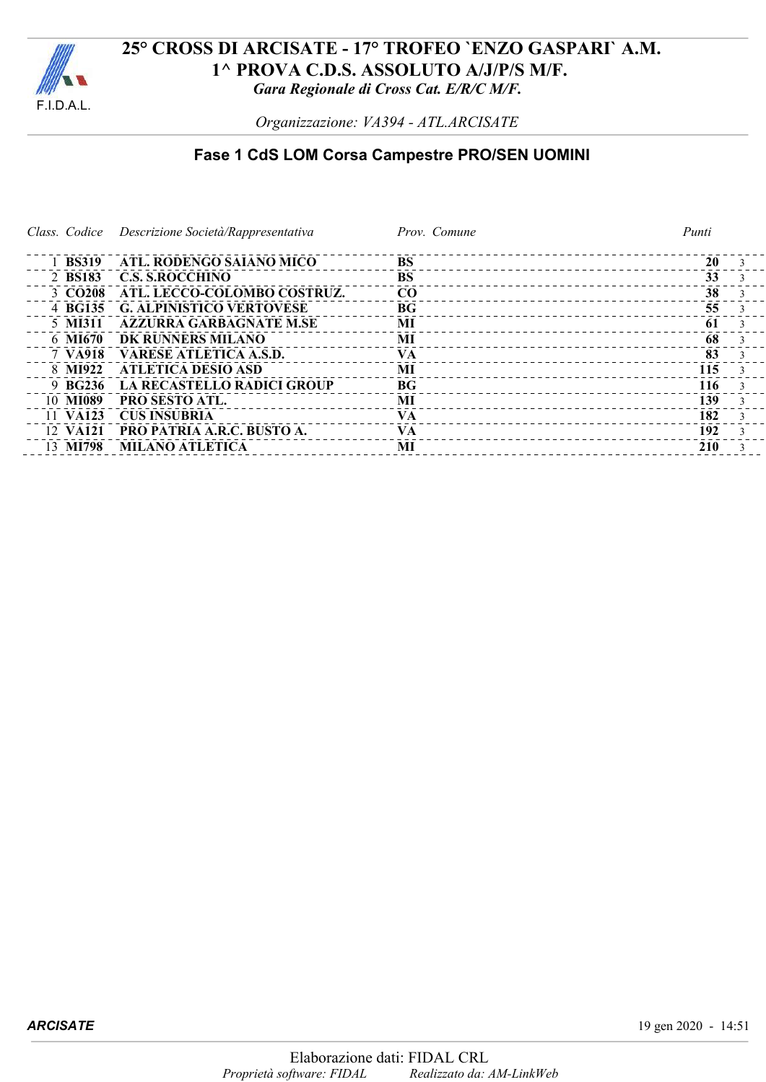

*Organizzazione: VA394 - ATL.ARCISATE*

# **Fase 1 CdS LOM Corsa Campestre PRO/SEN UOMINI**

*Class. Codice Descrizione Società/Rappresentativa Prov. Comune Punti*

| 1 BS319             | ATL. RODENGO SAIANO MICO          | <b>BS</b>       | 20  |  |
|---------------------|-----------------------------------|-----------------|-----|--|
| 2 BS183             | <b>C.S. S.ROCCHINO</b>            | <b>BS</b>       | 33  |  |
| 3 CO <sub>208</sub> | ATL. LECCO-COLOMBO COSTRUZ.       | CO              | 38  |  |
| 4 BG135             | <b>G. ALPINISTICO VERTOVESE</b>   | BG <sub>f</sub> | 55  |  |
| 5 MI311             | <b>AZZURRA GARBAGNATE M.SE</b>    | MI              | 61  |  |
| 6 MI670             | DK RUNNERS MILANO                 | MI              | 68  |  |
| 7 VA918             | <b>VARESE ATLETICA A.S.D.</b>     | <b>VA</b>       | 83  |  |
| 8 MI922             | ATLETICA DESIO ASD                | MI              | 115 |  |
| 9 BG236             | LA RECASTELLO RADICI GROUP        | BG <sub>f</sub> | 116 |  |
| 10 MI089            | <b>PRO SESTO ATL.</b>             | MI              | 139 |  |
| 11 VA123            | <b>CUS INSUBRIA</b>               | VA              | 182 |  |
| 12 VA121            | <b>PRO PATRIA A.R.C. BUSTO A.</b> | <b>VA</b>       | 192 |  |
| 13 MI798            | <b>MILANO ATLETICA</b>            | MI              | 210 |  |
|                     |                                   |                 |     |  |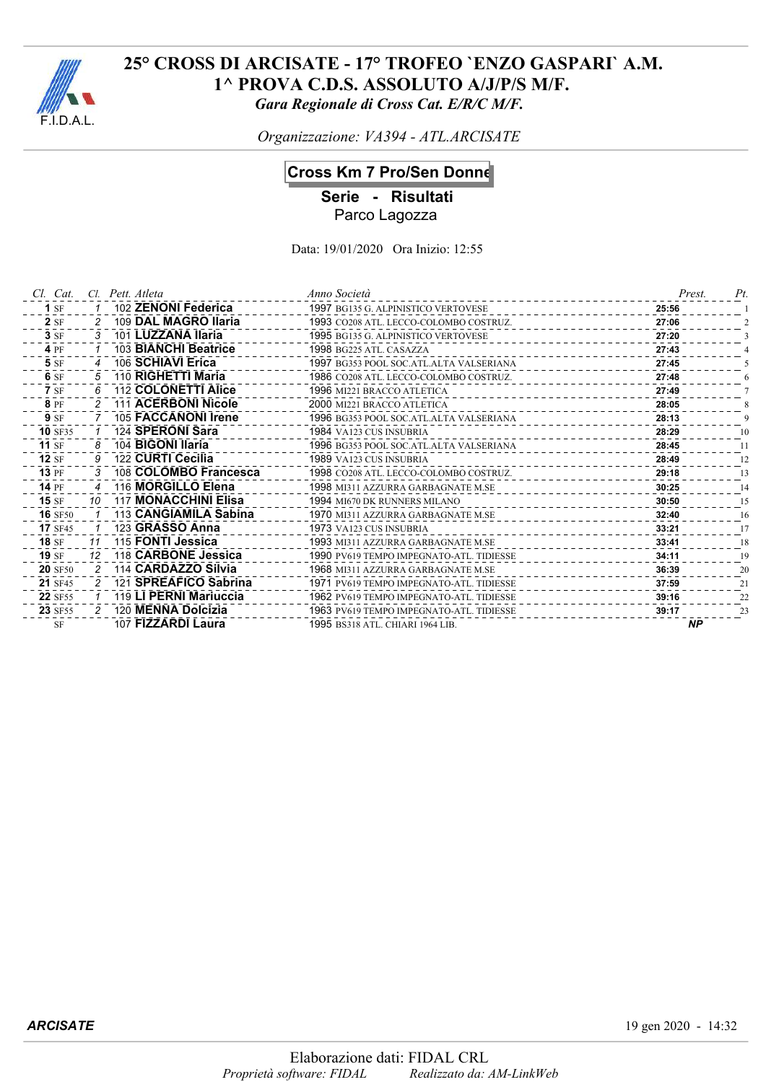

*Organizzazione: VA394 - ATL.ARCISATE*

## **Cross Km 7 Pro/Sen Donne**

**Serie - Risultati**

Parco Lagozza

| Cl. Cat.       |    | Cl. Pett. Atleta       | Anno Società                             | Prest.    | Pt |
|----------------|----|------------------------|------------------------------------------|-----------|----|
| $1$ SF         |    | 102 ZENONI Federica    | 1997 BG135 G. ALPINISTICO VERTOVESE      | 25:56     |    |
| 2SF            |    | 109 DAL MAGRO Ilaria   | 1993 CO208 ATL. LECCO-COLOMBO COSTRUZ.   | 27:06     |    |
| 3SF            |    | 101 LUZZANA Ilaria     | 1995 BG135 G. ALPINISTICO VERTOVESE      | 27:20     |    |
| 4 PF           |    | 103 BIANCHI Beatrice   | 1998 BG225 ATL. CASAZZA                  | 27:43     |    |
| 5 SF           |    | 106 SCHIAVI Erica      | 1997 BG353 POOL SOC.ATL.ALTA VALSERIANA  | 27:45     |    |
| 6 SF           |    | 110 RIGHETTI Maria     | 1986 CO208 ATL. LECCO-COLOMBO COSTRUZ.   | 27:48     |    |
| <b>7</b> SF    |    | 112 COLONETTI Alice    | 1996 MI221 BRACCO ATLETICA               | 27:49     |    |
| 8 PF           |    | 111 ACERBONI Nicole    | 2000 MI221 BRACCO ATLETICA               | 28:05     |    |
| <b>9</b> SF    |    | 105 FACCANONI Irene    | 1996 BG353 POOL SOC.ATL.ALTA VALSERIANA  | 28:13     |    |
| <b>10 SF35</b> |    | 124 SPERONI Sara       | <b>1984 VA123 CUS INSUBRIA</b>           | 28:29     | 10 |
| $11$ SF        |    | 104 BIGONI Ilaria      | 1996 BG353 POOL SOC.ATL.ALTA VALSERIANA  | 28:45     | 11 |
| $12$ SF        |    | 122 CURTI Cecilia      | 1989 VA123 CUS INSUBRIA                  | 28:49     | 12 |
| <b>13 PF</b>   |    | 108 COLOMBO Francesca  | 1998 CO208 ATL. LECCO-COLOMBO COSTRUZ.   | 29:18     | 13 |
| <b>14 PF</b>   |    | 116 MORGILLO Elena     | 1998 MI311 AZZURRA GARBAGNATE M.SE       | 30:25     | 14 |
| $15 S$ F       | 10 | 117 MONACCHINI Elisa   | <b>1994 MI670 DK RUNNERS MILANO</b>      | 30:50     | 15 |
| <b>16</b> SF50 |    | 113 CANGIAMILA Sabina  | 1970 MI311 AZZURRA GARBAGNATE M.SE       | 32:40     | 16 |
| <b>17 SF45</b> |    | 123 GRASSO Anna        | 1973 VA123 CUS INSUBRIA                  | 33:21     | 17 |
| <b>18 SF</b>   | 11 | 115 FONTI Jessica      | 1993 MI311 AZZURRA GARBAGNATE M.SE       | 33:41     | 18 |
| $19S$ F        | 12 | 118 CARBONE Jessica    | 1990 PV619 TEMPO IMPEGNATO-ATL. TIDIESSE | 34:11     | 19 |
| <b>20 SF50</b> |    | 114 CARDAZZO Silvia    | 1968 MI311 AZZURRA GARBAGNATE M.SE       | 36:39     | 20 |
| <b>21</b> SF45 |    | 121 SPREAFICO Sabrina  | 1971 PV619 TEMPO IMPEGNATO-ATL. TIDIESSE | 37:59     | 21 |
| 22 SF55        |    | 119 LI PERNI Mariuccia | 1962 PV619 TEMPO IMPEGNATO-ATL. TIDIESSE | 39:16     | 22 |
| <b>23 SF55</b> | 2  | 120 MENNA Dolcizia     | 1963 PV619 TEMPO IMPEGNATO-ATL. TIDIESSE | 39:17     | 23 |
| <b>SF</b>      |    | 107 FIZZARDI Laura     | 1995 BS318 ATL. CHIARI 1964 LIB.         | <b>NP</b> |    |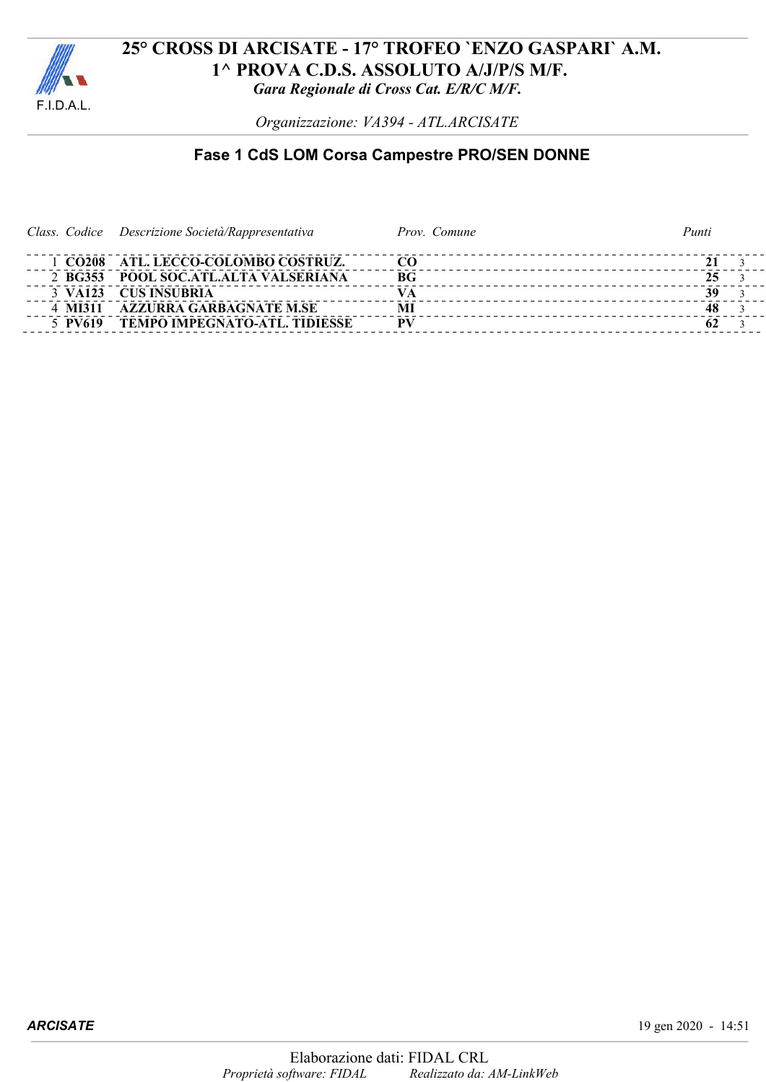

*Organizzazione: VA394 - ATL.ARCISATE*

# **Fase 1 CdS LOM Corsa Campestre PRO/SEN DONNE**

|         | Class. Codice Descrizione Società/Rappresentativa | Prov. Comune | Punti |
|---------|---------------------------------------------------|--------------|-------|
|         | 1 CO208 ATL. LECCO-COLOMBO COSTRUZ.               | CO.          |       |
|         | 2 BG353 POOL SOC.ATL.ALTA VALSERIANA              | RG           | 25    |
|         | 3 VA123 CUS INSUBRIA                              |              | 39    |
| 4 MI311 | <b>AZZURRA GARBAGNATE M.SE</b>                    | MI           | 48    |
| 5 PV619 | <b>TEMPO IMPEGNATO-ATL. TIDIESSE</b>              | -PV          |       |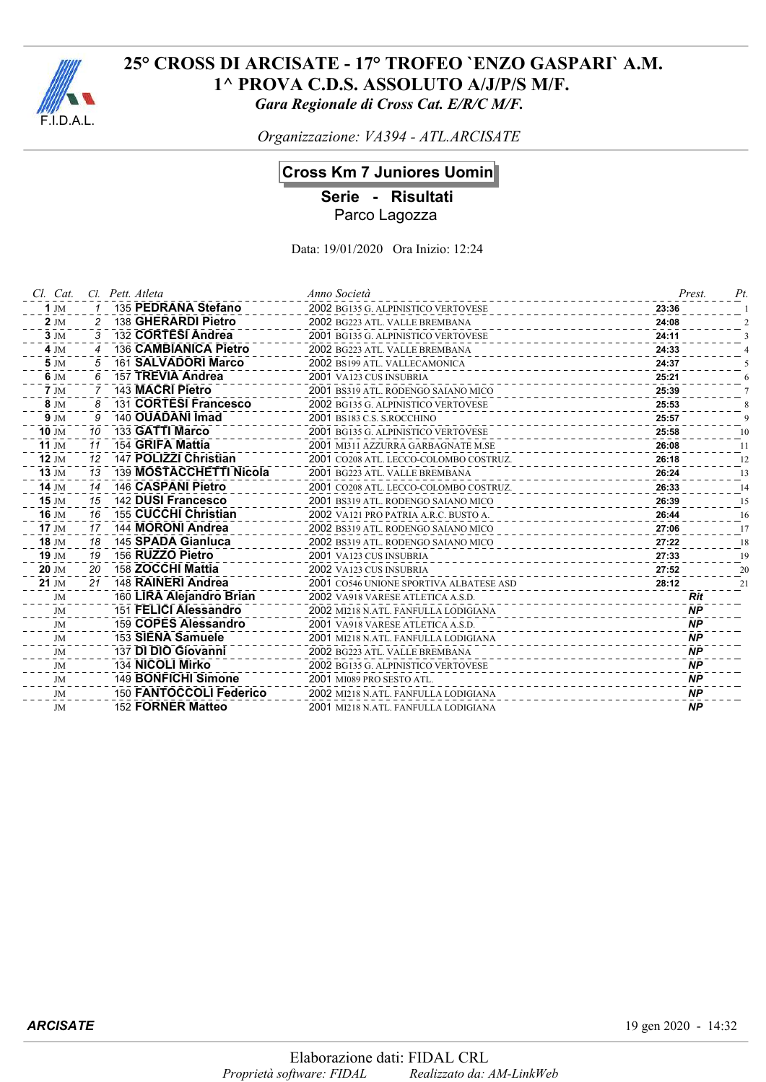

*Organizzazione: VA394 - ATL.ARCISATE*

## **Cross Km 7 Juniores Uomini**

**Serie - Risultati**

Parco Lagozza

| Cl. Cat.           |    | Cl. Pett. Atleta         | Anno Società                            | Prest.     | Pt. |
|--------------------|----|--------------------------|-----------------------------------------|------------|-----|
| 1 J $M$            |    | 135 PEDRANA Stefano      | 2002 BG135 G. ALPINISTICO VERTOVESE     | 23:36      |     |
| $2 \text{ JM}$     |    | 138 GHERARDI Pietro      | 2002 BG223 ATL. VALLE BREMBANA          | 24:08      |     |
| $3 \text{ JM}$     | 3  | 132 CORTESI Andrea       | 2001 BG135 G. ALPINISTICO VERTOVESE     | 24:11      |     |
| $4 \, \text{JM}$   |    | 136 CAMBIANICA Pietro    | 2002 BG223 ATL. VALLE BREMBANA          | 24:33      |     |
| $5 \, \mathrm{JM}$ | 5  | 161 SALVADORI Marco      | 2002 BS199 ATL. VALLECAMONICA           | 24:37      |     |
| 6 JM               | 6  | 157 TREVIA Andrea        | 2001 VA123 CUS INSUBRIA                 | 25:21      |     |
| $7 \text{ JM}$     |    | 143 MACRI Pietro         | 2001 BS319 ATL. RODENGO SAIANO MICO     | 25:39      |     |
| 8 JM               | 8  | 131 CORTESI Francesco    | 2002 BG135 G. ALPINISTICO VERTOVESE     | 25:53      |     |
| $9$ JM             |    | 140 OUADANI Imad         | 2001 BS183 C.S. S.ROCCHINO              | 25:57      |     |
| $10 \, \text{J}$   | 10 | 133 GATTI Marco          | 2001 BG135 G. ALPINISTICO VERTOVESE     | 25:58      | 10  |
| 11 JM              | 11 | 154 GRIFA Mattia         | 2001 MI311 AZZURRA GARBAGNATE M.SE      | 26:08      | 11  |
| <b>12 JM</b>       | 12 | 147 POLIZZI Christian    | 2001 CO208 ATL. LECCO-COLOMBO COSTRUZ.  | 26:18      | 12  |
| $13 \, \text{JM}$  | 13 | 139 MOSTACCHETTI Nicola  | 2001 BG223 ATL, VALLE BREMBANA          | 26:24      | 13  |
| 14 JM              | 14 | 146 CASPANI Pietro       | 2001 CO208 ATL. LECCO-COLOMBO COSTRUZ.  | 26:33      | 14  |
| $15$ JM            | 15 | 142 DUSI Francesco       | 2001 BS319 ATL. RODENGO SAIANO MICO     | 26:39      | 15  |
| 16 JM              | 16 | 155 CUCCHI Christian     | 2002 VA121 PRO PATRIA A.R.C. BUSTO A.   | 26:44      | 16  |
| $17 \text{ JM}$    | 17 | 144 MORONI Andrea        | 2002 BS319 ATL. RODENGO SAIANO MICO     | 27:06      | 17  |
| 18 JM              | 18 | 145 SPADA Gianluca       | 2002 BS319 ATL. RODENGO SAIANO MICO     | 27:22      | 18  |
| 19 JM              | 19 | 156 RUZZO Pietro         | 2001 VA123 CUS INSUBRIA                 | 27:33      | 19  |
| 20 JM              | 20 | 158 ZOCCHI Mattia        | 2002 VA123 CUS INSUBRIA                 | 27:52      | 20  |
| 21 JM              | 21 | 148 RAINERI Andrea       | 2001 CO546 UNIONE SPORTIVA ALBATESE ASD | 28:12      | 21  |
| JM                 |    | 160 LIRA Alejandro Brian | 2002 VA918 VARESE ATLETICA A.S.D.       | <b>Rit</b> |     |
| JM                 |    | 151 FELICI Alessandro    | 2002 MI218 N.ATL. FANFULLA LODIGIANA    | <b>NP</b>  |     |
| JM                 |    | 159 COPES Alessandro     | 2001 VA918 VARESE ATLETICA A.S.D.       | <b>NP</b>  |     |
| JM                 |    | 153 SIENA Samuele        | 2001 MI218 N.ATL. FANFULLA LODIGIANA    | <b>NP</b>  |     |
| JM                 |    | 137 DI DIO Giovanni      | 2002 BG223 ATL. VALLE BREMBANA          | <b>NP</b>  |     |
| JM                 |    | 134 NICOLI Mirko         | 2002 BG135 G. ALPINISTICO VERTOVESE     | <b>NP</b>  |     |
| JM                 |    | 149 BONFICHI Simone      | 2001 MI089 PRO SESTO ATL.               | <b>NP</b>  |     |
| JM                 |    | 150 FANTOCCOLI Federico  | 2002 MI218 N.ATL. FANFULLA LODIGIANA    | <b>NP</b>  |     |
| JM                 |    | 152 FORNER Matteo        | 2001 MI218 N.ATL. FANFULLA LODIGIANA    | <b>NP</b>  |     |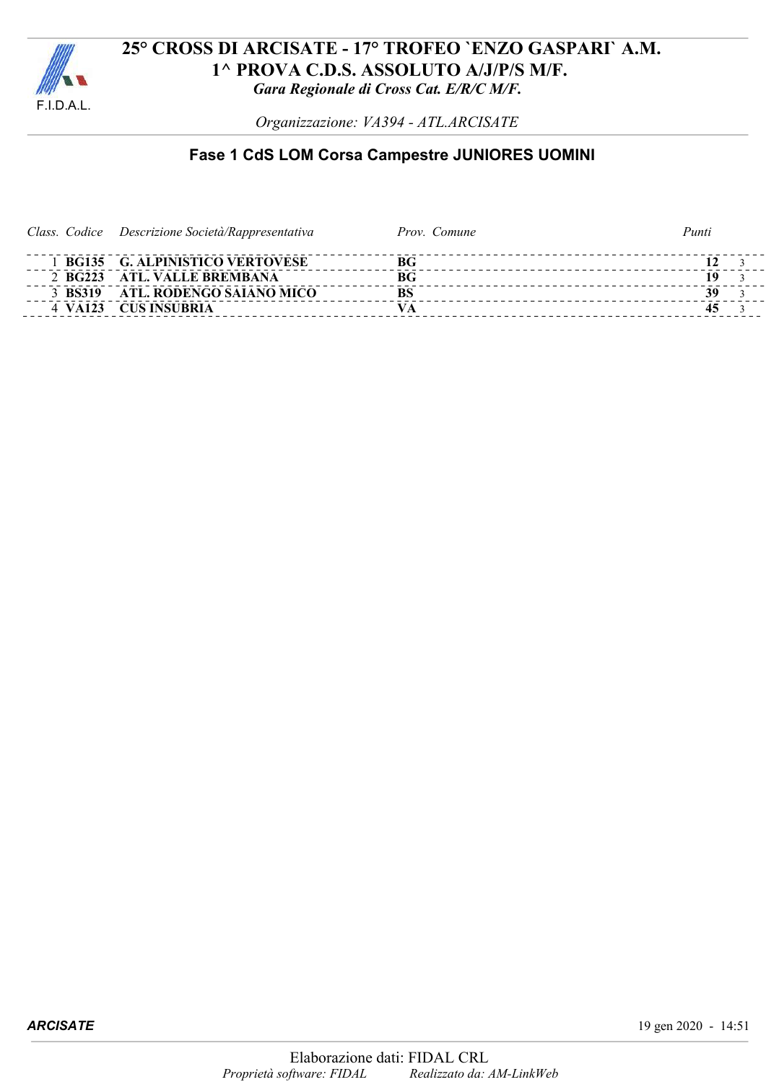

*Organizzazione: VA394 - ATL.ARCISATE*

# **Fase 1 CdS LOM Corsa Campestre JUNIORES UOMINI**

|  | Class. Codice Descrizione Società/Rappresentativa | Prov. Comune | Punti |  |
|--|---------------------------------------------------|--------------|-------|--|
|  | <b>BG135 G. ALPINISTICO VERTOVESE</b>             | BG           |       |  |
|  | 2 BG223 ATL VALLE BREMBANA                        | BG           |       |  |
|  | 3 BS319 ATL. RODENGO SAIANO MICO                  | <b>BS</b>    |       |  |
|  | 4 VA123 CUS INSUBRIA                              |              |       |  |
|  |                                                   |              |       |  |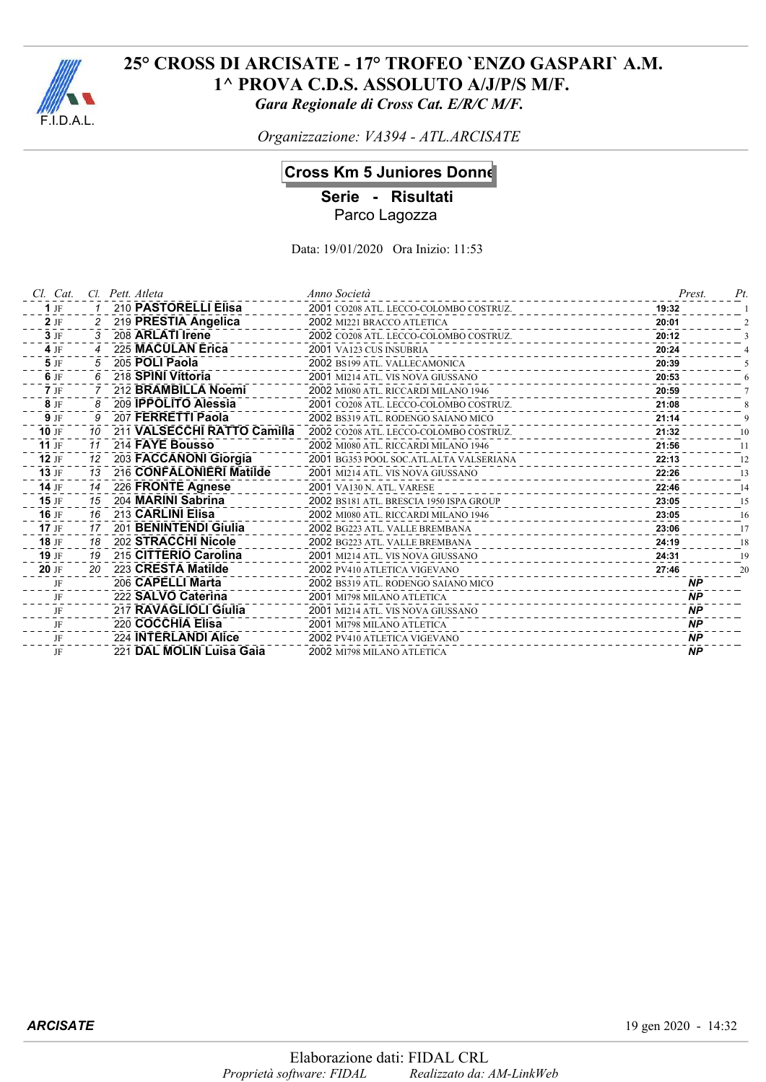

*Organizzazione: VA394 - ATL.ARCISATE*

## **Cross Km 5 Juniores Donne**

**Serie - Risultati** Parco Lagozza

| Cl. Cat. |                | Cl. Pett. Atleta            | Anno Società                            | Prest.    | Pt |
|----------|----------------|-----------------------------|-----------------------------------------|-----------|----|
| $1$ JF   |                | 210 PASTORELLI Elisa        | 2001 CO208 ATL. LECCO-COLOMBO COSTRUZ.  | 19:32     |    |
| $2$ JF   | $\overline{2}$ | 219 PRESTIA Angelica        | 2002 MI221 BRACCO ATLETICA              | 20:01     |    |
| $3$ JF   | 3              | 208 ARLATI Irene            | 2002 CO208 ATL. LECCO-COLOMBO COSTRUZ.  | 20:12     |    |
| 4 JF     |                | 225 MACULAN Erica           | 2001 VA123 CUS INSUBRIA<br>.            | 20:24     |    |
| 5 JF     |                | 205 POLI Paola              | 2002 BS199 ATL. VALLECAMONICA           | 20:39     |    |
| 6 JF     | 6              | 218 SPINI Vittoria          | 2001 MI214 ATL. VIS NOVA GIUSSANO       | 20:53     |    |
| $7$ JF   |                | 212 BRAMBILLA Noemi         | 2002 MI080 ATL. RICCARDI MILANO 1946    | 20:59     |    |
| 8 JF     | 8              | 209 IPPOLITO Alessia        | 2001 CO208 ATL. LECCO-COLOMBO COSTRUZ.  | 21:08     |    |
| $9$ JF   | 9              | 207 FERRETTI Paola          | 2002 BS319 ATL. RODENGO SAIANO MICO     | 21:14     |    |
| 10 JF    | 10             | 211 VALSECCHI RATTO Camilla | 2002 CO208 ATL. LECCO-COLOMBO COSTRUZ.  | 21:32     | 10 |
| 11 $IF$  | 11             | 214 FAYE Bousso             | 2002 MI080 ATL. RICCARDI MILANO 1946    | 21:56     | 11 |
| 12 JF    | 12             | 203 FACCANONI Giorgia       | 2001 BG353 POOL SOC.ATL.ALTA VALSERIANA | 22:13     | 12 |
| $13$ JF  | 13             | 216 CONFALONIERI Matilde    | 2001 MI214 ATL. VIS NOVA GIUSSANO       | 22:26     | 13 |
| 14 $JF$  | 14             | 226 FRONTE Agnese           | 2001 VA130 N. ATL. VARESE               | 22:46     | 14 |
| $15$ JF  | 15             | 204 MARINI Sabrina          | 2002 BS181 ATL. BRESCIA 1950 ISPA GROUP | 23:05     | 15 |
| 16 JF    | 16             | 213 CARLINI Elisa           | 2002 MI080 ATL. RICCARDI MILANO 1946    | 23:05     | 16 |
| $17$ JF  | 17             | 201 BENINTENDI Giulia       | 2002 BG223 ATL. VALLE BREMBANA          | 23:06     | 17 |
| 18 JF    | 18             | 202 STRACCHI Nicole         | 2002 BG223 ATL. VALLE BREMBANA          | 24:19     | 18 |
| 19 JF    | 19             | 215 CITTERIO Carolina       | 2001 MI214 ATL. VIS NOVA GIUSSANO       | 24:31     | 19 |
| 20 JF    | 20             | 223 CRESTA Matilde          | 2002 PV410 ATLETICA VIGEVANO            | 27:46     | 20 |
| JF       |                | 206 CAPELLI Marta           | 2002 BS319 ATL. RODENGO SAIANO MICO     | <b>NP</b> |    |
| JF       |                | 222 SALVO Caterina          | 2001 MI798 MILANO ATLETICA              | <b>NP</b> |    |
| JF       |                | 217 RAVAGLIOLI Giulia       | 2001 MI214 ATL. VIS NOVA GIUSSANO       | <b>NP</b> |    |
| JF       |                | 220 COCCHIA Elisa           | 2001 MI798 MILANO ATLETICA              | <b>NP</b> |    |
| JF       |                | 224 INTERLANDI Alice        | 2002 PV410 ATLETICA VIGEVANO            | <b>NP</b> |    |
| JF       |                | 221 DAL MOLIN Luisa Gaia    | 2002 MI798 MILANO ATLETICA              | <b>NP</b> |    |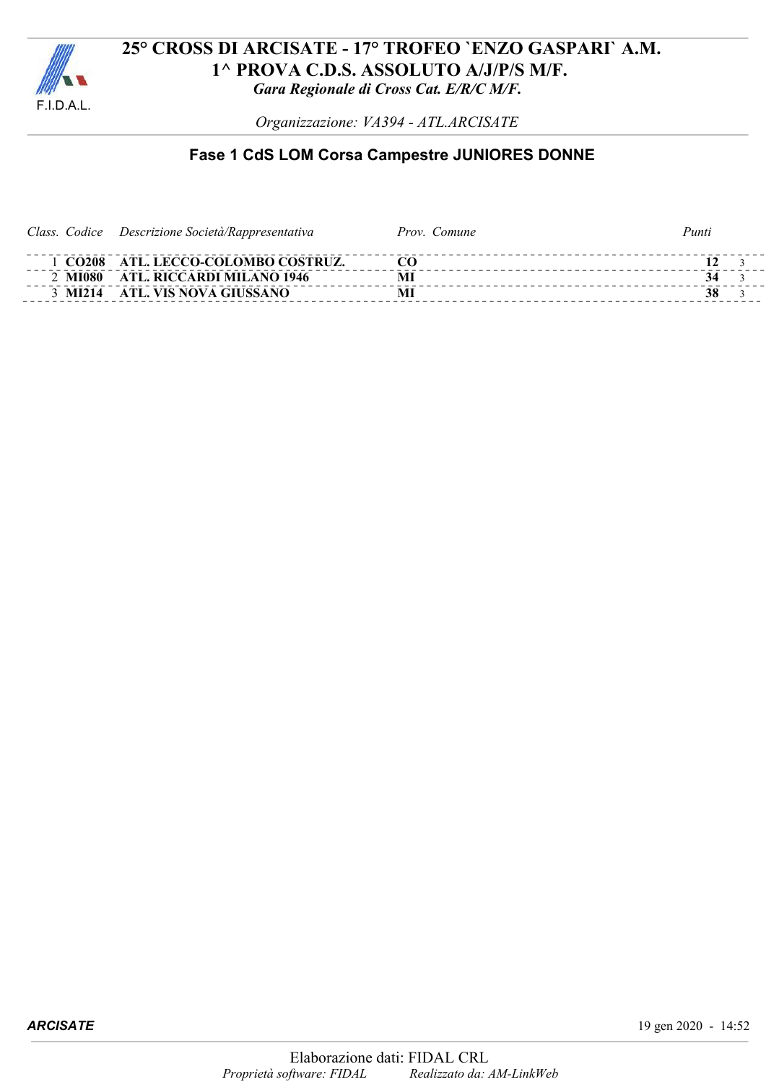

*Organizzazione: VA394 - ATL.ARCISATE*

# **Fase 1 CdS LOM Corsa Campestre JUNIORES DONNE**

| Class. Codice Descrizione Società/Rappresentativa | Prov. Comune | Punti |
|---------------------------------------------------|--------------|-------|
| 1 CO208 ATL. LECCO-COLOMBO COSTRUZ.               |              |       |
| 2 MI080 ATL. RICCARDI MILANO 1946                 |              |       |
| 3 MI214 ATL. VIS NOVA GIUSSANO                    | M            | 38    |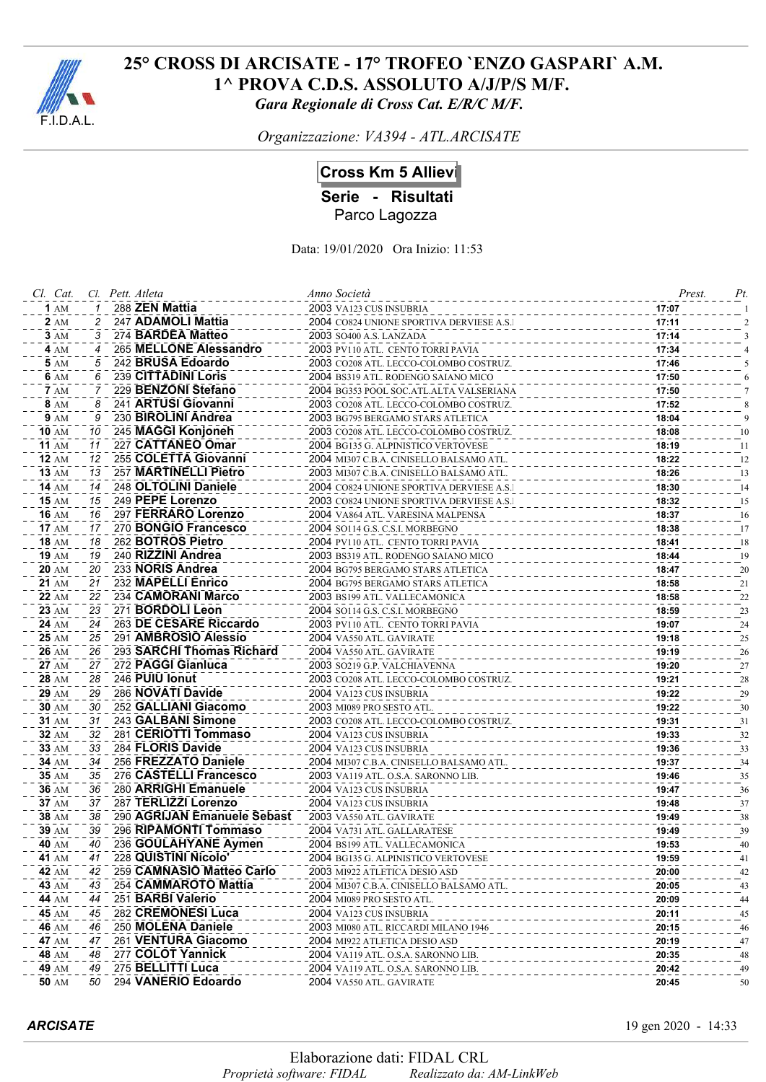

*Organizzazione: VA394 - ATL.ARCISATE*

## **Cross Km 5 Allievi**

**Serie - Risultati**

Parco Lagozza

| Cl. Cat.     |    | Cl. Pett. Atleta            | Anno Società                              | Prest. | Pt. |
|--------------|----|-----------------------------|-------------------------------------------|--------|-----|
| 1AM          |    | 288 ZEN Mattia              | 2003 VA123 CUS INSUBRIA                   | 17:07  |     |
| <b>2</b> AM  | 2  | 247 ADAMOLI Mattia          | 2004 CO824 UNIONE SPORTIVA DERVIESE A.S.I | 17:11  |     |
| <b>3</b> AM  | 3  | 274 BARDEA Matteo           | 2003 SO400 A.S. LANZADA                   | 17:14  |     |
| 4 AM         | 4  | 265 MELLONE Alessandro      | 2003 PV110 ATL. CENTO TORRI PAVIA         | 17:34  |     |
| <b>5</b> AM  |    | 242 BRUSA Edoardo           | 2003 CO208 ATL. LECCO-COLOMBO COSTRUZ.    | 17:46  |     |
| 6 AM         | 6  | 239 CITTADINI Loris         | 2004 BS319 ATL. RODENGO SAIANO MICO       | 17:50  |     |
| <b>7</b> AM  |    | 229 BENZONI Stefano         | 2004 BG353 POOL SOC.ATL.ALTA VALSERIANA   | 17:50  |     |
| <b>8</b> AM  | 8  | 241 ARTUSI Giovanni         | 2003 CO208 ATL. LECCO-COLOMBO COSTRUZ.    | 17:52  |     |
| <b>9</b> AM  | 9  | 230 BIROLINI Andrea         | 2003 BG795 BERGAMO STARS ATLETICA         | 18:04  |     |
| <b>10 AM</b> | 10 | 245 MAGGI Konjoneh          | 2003 CO208 ATL. LECCO-COLOMBO COSTRUZ.    | 18:08  | 10  |
| <b>11 AM</b> | 11 | 227 CATTANEO Omar           | 2004 BG135 G. ALPINISTICO VERTOVESE       | 18:19  | -11 |
| <b>12 AM</b> | 12 | 255 COLETTA Giovanni        | 2004 MI307 C.B.A. CINISELLO BALSAMO ATL.  | 18:22  | 12  |
| <b>13 AM</b> | 13 | 257 MARTINELLI Pietro       | 2003 MI307 C.B.A. CINISELLO BALSAMO ATL.  | 18:26  | 13  |
| <b>14 AM</b> | 14 | 248 OLTOLINI Daniele        | 2004 CO824 UNIONE SPORTIVA DERVIESE A.S.I | 18:30  | 14  |
| 15 AM        | 15 | 249 PEPE Lorenzo            | 2003 CO824 UNIONE SPORTIVA DERVIESE A.S.I | 18:32  | 15  |
| <b>16</b> AM | 16 | 297 FERRARO Lorenzo         | 2004 VA864 ATL. VARESINA MALPENSA         | 18:37  | 16  |
| <b>17 AM</b> | 17 | 270 BONGIO Francesco        | 2004 SO114 G.S. C.S.I. MORBEGNO           | 18:38  | 17  |
| <b>18 AM</b> | 18 | 262 BOTROS Pietro           | 2004 PV110 ATL. CENTO TORRI PAVIA         | 18:41  | 18  |
| 19 AM        | 19 | 240 RIZZINI Andrea          | 2003 BS319 ATL. RODENGO SAIANO MICO       | 18:44  | 19  |
| 20 AM        | 20 | 233 NORIS Andrea            | 2004 BG795 BERGAMO STARS ATLETICA         | 18:47  | 20  |
| 21 AM        | 21 | 232 MAPELLI Enrico          | 2004 BG795 BERGAMO STARS ATLETICA         | 18:58  | 21  |
| <b>22 AM</b> | 22 | 234 CAMORANI Marco          | 2003 BS199 ATL. VALLECAMONICA             | 18:58  | 22  |
| 23 AM        | 23 | 271 BORDOLI Leon            | 2004 SO114 G.S. C.S.I. MORBEGNO           | 18:59  | 23  |
| 24 AM        | 24 | 263 DE CESARE Riccardo      | 2003 PV110 ATL. CENTO TORRI PAVIA         | 19:07  | 24  |
| <b>25 AM</b> | 25 | 291 AMBROSIO Alessio        | 2004 VA550 ATL. GAVIRATE                  | 19:18  | 25  |
| <b>26 AM</b> | 26 | 293 SARCHI Thomas Richard   | 2004 VA550 ATL. GAVIRATE                  | 19:19  | 26  |
| 27 AM        | 27 | 272 PAGGI Gianluca          | 2003 so219 G.P. VALCHIAVENNA              | 19:20  | 27  |
| 28 AM        | 28 | 246 PUIU Ionut              | 2003 CO208 ATL. LECCO-COLOMBO COSTRUZ.    | 19:21  | 28  |
| <b>29 AM</b> | 29 | 286 NOVATI Davide           | 2004 VA123 CUS INSUBRIA                   | 19:22  | 29  |
| 30 AM        | 30 | 252 GALLIANI Giacomo        | 2003 MI089 PRO SESTO ATL.                 | 19:22  | 30  |
| 31 AM        | 31 | 243 GALBANI Simone          | 2003 CO208 ATL. LECCO-COLOMBO COSTRUZ.    | 19:31  | 31  |
| 32 AM        | 32 | 281 CERIOTTI Tommaso        | 2004 VA123 CUS INSUBRIA                   | 19:33  | 32  |
| <b>33 AM</b> | 33 | 284 FLORIS Davide           | 2004 VA123 CUS INSUBRIA                   | 19:36  | 33  |
| 34 AM        | 34 | 256 FREZZATO Daniele        | 2004 MI307 C.B.A. CINISELLO BALSAMO ATL.  | 19:37  | 34  |
| <b>35 AM</b> | 35 | 276 CASTELLI Francesco      | 2003 VA119 ATL. O.S.A. SARONNO LIB.       | 19:46  | 35  |
| <b>36 AM</b> | 36 | 280 ARRIGHI Emanuele        | 2004 VA123 CUS INSUBRIA                   | 19:47  | 36  |
| 37 AM        | 37 | 287 TERLIZZI Lorenzo        | 2004 VA123 CUS INSUBRIA                   | 19:48  | 37  |
| 38 AM        | 38 | 290 AGRIJAN Emanuele Sebast | 2003 VA550 ATL. GAVIRATE                  | 19:49  | 38  |
| 39 AM        | 39 | 296 RIPAMONTI Tommaso       | 2004 VA731 ATL. GALLARATESE               | 19:49  | 39  |
| <b>40 AM</b> | 40 | 236 GOULAHYANE Aymen        | 2004 BS199 ATL. VALLECAMONICA             | 19:53  | 40  |
| <b>41 AM</b> | 41 | 228 QUISTINI Nicolo'        | 2004 BG135 G. ALPINISTICO VERTOVESE       | 19:59  | 41  |
| <b>42 AM</b> | 42 | 259 CAMNASIO Matteo Carlo   | 2003 MI922 ATLETICA DESIO ASD             | 20:00  | 42  |
| 43 AM        | 43 | 254 CAMMAROTO Mattia        | 2004 MI307 C.B.A. CINISELLO BALSAMO ATL.  | 20:05  | 43  |
| 44 AM        | 44 | 251 BARBI Valerio           | 2004 MI089 PRO SESTO ATL.                 | 20:09  | 44  |
| <b>45 AM</b> | 45 | 282 CREMONESI Luca          | 2004 VA123 CUS INSUBRIA                   | 20:11  | 45  |
| <b>46 AM</b> | 46 | 250 MOLENA Daniele          | 2003 MI080 ATL. RICCARDI MILANO 1946      | 20:15  | 46  |
| 47 AM        | 47 | 261 VENTURA Giacomo         | 2004 MI922 ATLETICA DESIO ASD             | 20:19  | 47  |
| <b>48 AM</b> | 48 | 277 COLOT Yannick           | 2004 VA119 ATL. O.S.A. SARONNO LIB.       | 20:35  | 48  |
| 49 AM        | 49 | 275 BELLITTI Luca           | 2004 VA119 ATL. O.S.A. SARONNO LIB.       | 20:42  | 49  |
| <b>50 AM</b> | 50 | 294 VANERIO Edoardo         | 2004 VA550 ATL. GAVIRATE                  | 20:45  | 50  |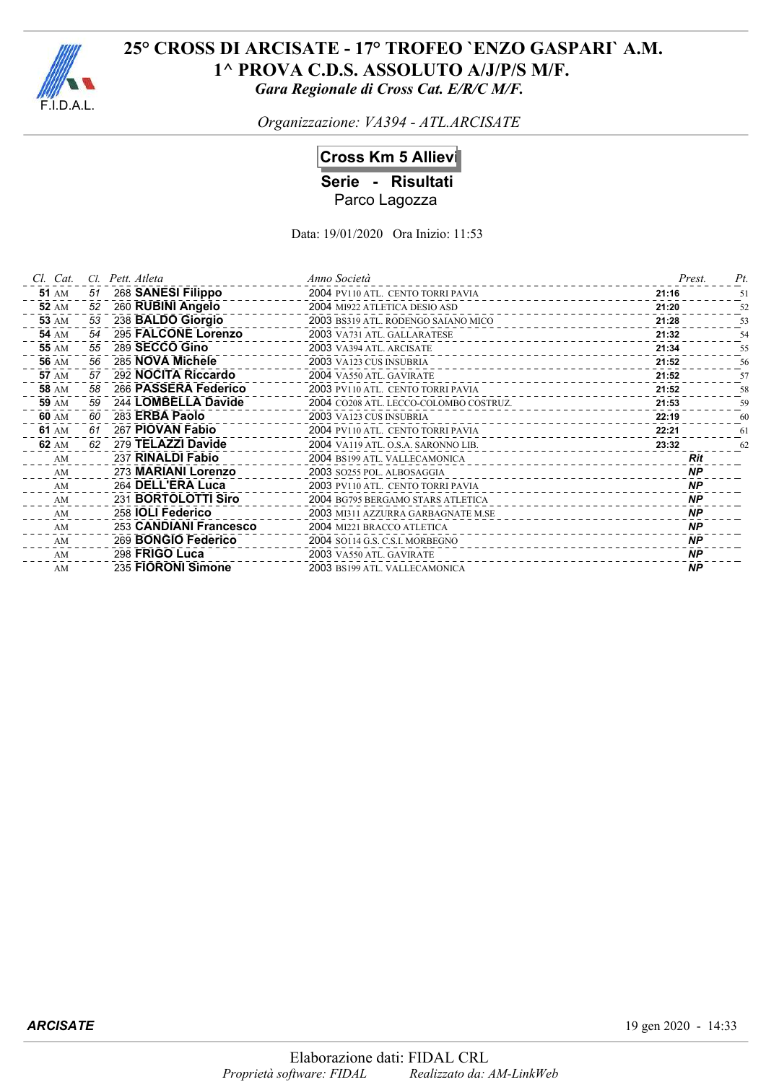

*Organizzazione: VA394 - ATL.ARCISATE*

# **Cross Km 5 Allievi**

**Serie - Risultati** Parco Lagozza

| Cl. Cat.     | CL. | Pett. Atleta             | Anno Società                                                      | Prest.    | Pt. |
|--------------|-----|--------------------------|-------------------------------------------------------------------|-----------|-----|
| <b>51 AM</b> | 51  | 268 SANESI Filippo       | 2004 PV110 ATL. CENTO TORRI PAVIA                                 | 21:16     | 51  |
| <b>52 AM</b> | 52  | 260 RUBINI Angelo        | 2004 MI922 ATLETICA DESIO ASD                                     | 21:20     | 52  |
| <b>53 AM</b> | 53  | 238 BALDO Giorgio        | 2003 BS319 ATL. RODENGO SAIANO MICO                               | 21:28     | 53  |
| <b>54 AM</b> | 54  | 295 FALCONE Lorenzo      | 2003 VA731 ATL. GALLARATESE                                       | 21:32     | 54  |
| <b>55 AM</b> | 55  | 289 SECCO Gino           | 2003 VA394 ATL. ARCISATE                                          | 21:34     | 55  |
| <b>56 AM</b> | 56  | 285 NOVA Michele         | 2003 VA123 CUS INSUBRIA<br>________________                       | 21:52     | 56  |
| <b>57 AM</b> | 57  | 292 NOCITA Riccardo      | 2004 VA550 ATL. GAVIRATE                                          | 21:52     | 57  |
| <b>58 AM</b> | 58  | 266 PASSERA Federico     | 2003 PV110 ATL. CENTO TORRI PAVIA                                 | 21:52     | 58  |
| <b>59 AM</b> | 59  | 244 LOMBELLA Davide      | 2004 CO208 ATL. LECCO-COLOMBO COSTRUZ.                            | 21:53     | 59  |
| 60 AM        | 60  | 283 ERBA Paolo           | 2003 VA123 CUS INSUBRIA<br>----------                             | 22:19     | 60  |
| 61 AM        | 61  | 267 PIOVAN Fabio         | 2004 PV110 ATL. CENTO TORRI PAVIA                                 | 22:21     | 61  |
| 62 AM        | 62  | 279 TELAZZI Davide       | 2004 VA119 ATL. O.S.A. SARONNO LIB.                               | 23:32     | 62  |
| AM           |     | 237 RINALDI Fabio        | 2004 BS199 ATL. VALLECAMONICA<br><u> 1999 - San Alban Alban A</u> | Rit       |     |
| AM           |     | 273 MARIANI Lorenzo      | 2003 SO255 POL. ALBOSAGGIA<br>----------------                    | <b>NP</b> |     |
| AM           |     | 264 DELL'ERA Luca        | 2003 PV110 ATL. CENTO TORRI PAVIA                                 | <b>NP</b> |     |
| AM           |     | 231 BORTOLOTTI Siro      | 2004 BG795 BERGAMO STARS ATLETICA                                 | <b>NP</b> |     |
| AM           |     | 258 <b>IOLI Federico</b> | 2003 MI311 AZZURRA GARBAGNATE M.SE<br>______________              | <b>NP</b> |     |
| AM           |     | 253 CANDIANI Francesco   | 2004 MI221 BRACCO ATLETICA                                        | <b>NP</b> |     |
| AM           |     | 269 BONGIO Federico      | 2004 SO114 G.S. C.S.I. MORBEGNO                                   | <b>NP</b> |     |
| AM           |     | 298 FRIGO Luca           | 2003 VA550 ATL. GAVIRATE                                          | <b>NP</b> |     |
| AM           |     | 235 FIORONI Simone       | 2003 BS199 ATL. VALLECAMONICA                                     | <b>NP</b> |     |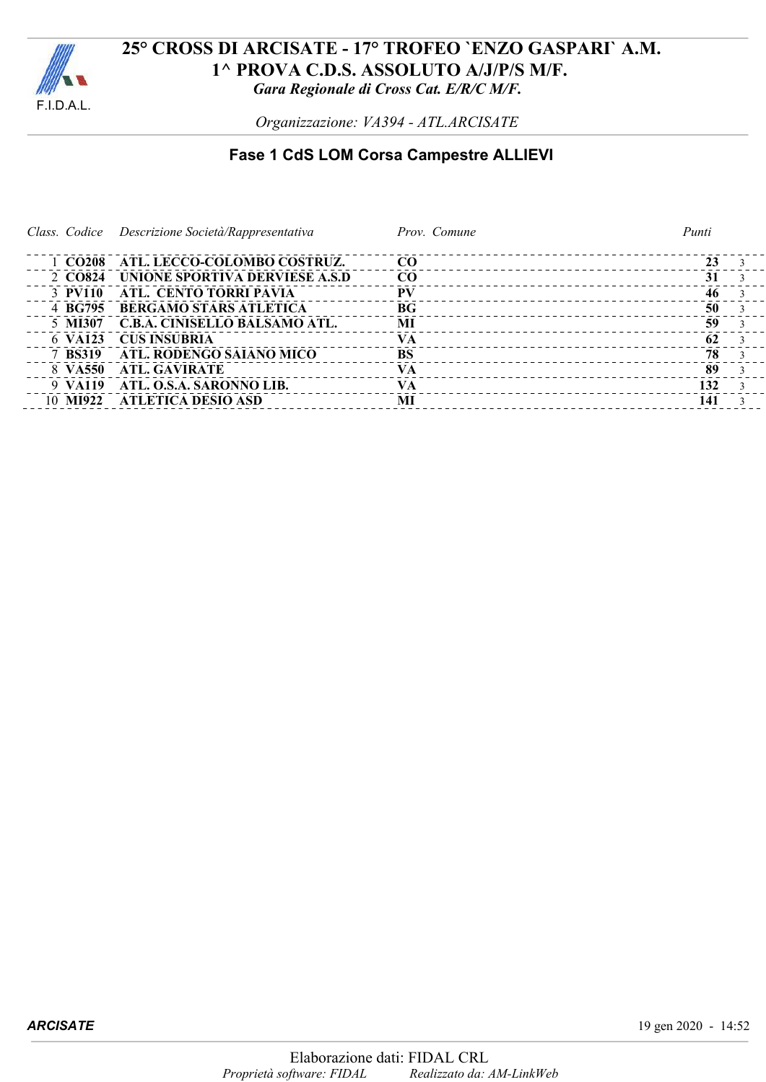

*Organizzazione: VA394 - ATL.ARCISATE*

# **Fase 1 CdS LOM Corsa Campestre ALLIEVI**

|          | Class. Codice Descrizione Società/Rappresentativa | Prov. Comune                                    | Punti |
|----------|---------------------------------------------------|-------------------------------------------------|-------|
|          |                                                   |                                                 |       |
|          | 1 CO208 ATL. LECCO-COLOMBO COSTRUZ.               | CO <sub>1</sub><br>____________________________ | 23    |
| 2 CO824  | UNIONE SPORTIVA DERVIESE A.S.D                    | CO                                              | 31    |
| 3 PV110  | ATL. CENTO TORRI PAVIA                            | <b>PV</b>                                       | 46    |
| 4 BG795  | <b>BERGAMO STARS ATLETICA</b>                     | BG <sub>f</sub><br>__________________________   | 50    |
| 5 MI307  | C.B.A. CINISELLO BALSAMO ATL.                     | MI<br>_______________________________           | 59    |
| 6 VA123  | <b>CUS INSUBRIA</b>                               | VA<br>____________________________              | 62    |
| 7 BS319  | ATL. RODENGO SAIANO MICO                          | <b>BS</b><br>_______________________________    | 78    |
| 8 VA550  | ATL. GAVIRATE                                     | <b>VA</b>                                       | 89    |
|          | 9 VA119 ATL, O.S.A. SARONNO LIB.                  | <b>VA</b>                                       | 132   |
| 10 MI922 | - ATLETICA DESIO ASD                              | MI                                              | 141   |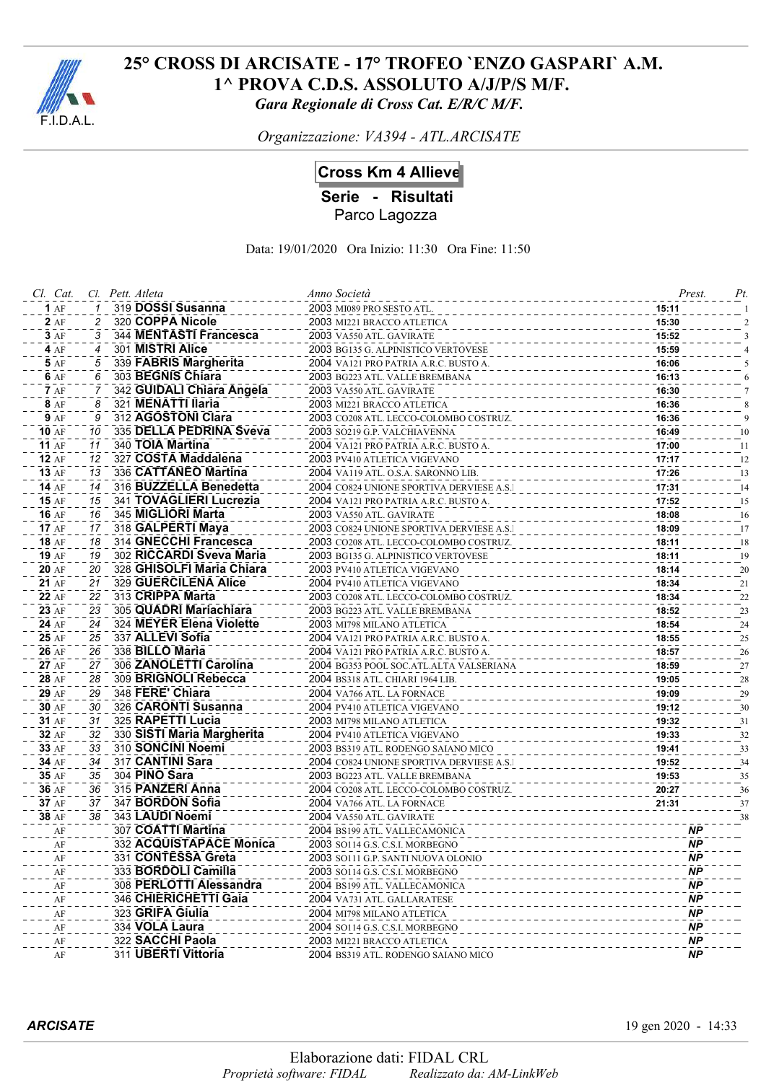

*Organizzazione: VA394 - ATL.ARCISATE*

## **Cross Km 4 Allieve**

**Serie - Risultati**

Parco Lagozza

Data: 19/01/2020 Ora Inizio: 11:30 Ora Fine: 11:50

| Cl. Cat.       |          | Cl. Pett. Atleta                         | Anno Società                                                                     | Prest.         | Pt.      |
|----------------|----------|------------------------------------------|----------------------------------------------------------------------------------|----------------|----------|
| 1AF            |          | 319 DOSSI Susanna                        | 2003 MI089 PRO SESTO ATL.                                                        | 15:11          |          |
| 2AF            |          | 320 COPPA Nicole                         | 2003 MI221 BRACCO ATLETICA                                                       | 15:30          |          |
| 3AF            | 3        | 344 MENTASTI Francesca                   | 2003 VA550 ATL. GAVIRATE                                                         | 15:52          |          |
| 4AF            | 4        | 301 MISTRI Alice                         | 2003 BG135 G. ALPINISTICO VERTOVESE                                              | 15:59          |          |
| 5 AF           | 5        | 339 FABRIS Margherita                    | 2004 VA121 PRO PATRIA A.R.C. BUSTO A.                                            | 16:06          |          |
| 6 AF           | 6        | 303 BEGNIS Chiara                        | 2003 BG223 ATL. VALLE BREMBANA                                                   | 16:13          |          |
| <b>7</b> AF    |          | 342 GUIDALI Chiara Angela                | 2003 VA550 ATL. GAVIRATE                                                         | 16:30          |          |
| 8 AF           | 8        | 321 MENATTI Ilaria                       | 2003 MI221 BRACCO ATLETICA                                                       | 16:36          |          |
| <b>9</b> AF    | 9        | 312 AGOSTONI Clara                       | 2003 CO208 ATL. LECCO-COLOMBO COSTRUZ.                                           | 16:36          |          |
| <b>10 AF</b>   | 10       | 335 DELLA PEDRINA Sveva                  | 2003 SO219 G.P. VALCHIAVENNA                                                     | 16:49          | 10       |
| <b>11 AF</b>   | 11       | 340 TOIA Martina                         | 2004 VA121 PRO PATRIA A.R.C. BUSTO A.                                            | 17:00          | 11       |
| 12AF           | 12       | 327 COSTA Maddalena                      | 2003 PV410 ATLETICA VIGEVANO                                                     | 17:17          | 12       |
| <b>13 AF</b>   | 13       | 336 CATTANEO Martina                     | 2004 VA119 ATL. O.S.A. SARONNO LIB.                                              | 17:26          | 13       |
| <b>14 AF</b>   | 14       | 316 BUZZELLA Benedetta                   | 2004 CO824 UNIONE SPORTIVA DERVIESE A.S.I                                        | 17:31          | 14       |
| <b>15 AF</b>   | 15       | 341 TOVAGLIERI Lucrezia                  | 2004 VA121 PRO PATRIA A.R.C. BUSTO A.                                            | 17:52          | 15       |
| <b>16 AF</b>   | 16       | 345 MIGLIORI Marta                       | 2003 VA550 ATL. GAVIRATE                                                         | 18:08          | 16       |
| 17AF           | 17       | 318 GALPERTI Maya                        | 2003 CO824 UNIONE SPORTIVA DERVIESE A.S.I                                        | 18:09          | 17       |
| <b>18 AF</b>   | 18       | 314 GNECCHI Francesca                    | 2003 CO208 ATL. LECCO-COLOMBO COSTRUZ.                                           | 18:11          | 18       |
| <b>19 AF</b>   | 19       | 302 RICCARDI Sveva Maria                 | 2003 BG135 G. ALPINISTICO VERTOVESE                                              | 18:11          | 19       |
| <b>20 AF</b>   | 20       | 328 GHISOLFI Maria Chiara                | 2003 PV410 ATLETICA VIGEVANO                                                     | 18:14          | 20       |
| 21 AF          | 21       | 329 GUERCILENA Alice                     | 2004 PV410 ATLETICA VIGEVANO                                                     | 18:34          | 21       |
| 22 AF          | 22       | 313 CRIPPA Marta                         | 2003 CO208 ATL. LECCO-COLOMBO COSTRUZ.                                           | 18:34          | 22       |
| 23 AF          | 23       | 305 QUADRI Mariachiara                   | 2003 BG223 ATL. VALLE BREMBANA                                                   | 18:52          | 23       |
| 24 AF          | 24       | 324 MEYER Elena Violette                 | 2003 MI798 MILANO ATLETICA                                                       | 18:54          | 24       |
| 25 AF          | 25       | 337 ALLEVI Sofia                         | 2004 VA121 PRO PATRIA A.R.C. BUSTO A.                                            | 18:55          | 25       |
| 26 AF          | 26       | 338 BILLO Maria                          | 2004 VA121 PRO PATRIA A.R.C. BUSTO A.                                            | 18:57          | 26       |
| 27 AF          | 27       | 306 ZANOLETTI Carolina                   | 2004 BG353 POOL SOC.ATL.ALTA VALSERIANA                                          | 18:59          | 27       |
| 28 AF          | 28       | 309 BRIGNOLI Rebecca                     | 2004 BS318 ATL. CHIARI 1964 LIB.                                                 | 19:05          | 28       |
| 29 AF          | 29       | 348 FERE' Chiara                         | 2004 VA766 ATL. LA FORNACE                                                       | 19:09          | 29       |
| 30 AF          | 30       | 326 CARONTI Susanna<br>325 RAPETTI Lucia | 2004 PV410 ATLETICA VIGEVANO                                                     | 19:12          | 30       |
| 31 AF<br>32 AF | 31       | 330 SISTI Maria Margherita               | 2003 MI798 MILANO ATLETICA                                                       | 19:32          | 31       |
| 33 AF          | 32<br>33 | 310 SONCINI Noemi                        | 2004 PV410 ATLETICA VIGEVANO                                                     | 19:33<br>19:41 | 32       |
| 34 AF          | 34       | 317 CANTINI Sara                         | 2003 BS319 ATL. RODENGO SAIANO MICO<br>2004 CO824 UNIONE SPORTIVA DERVIESE A.S.I | 19:52          | 33       |
| 35 AF          | 35       | 304 PINO Sara                            | 2003 BG223 ATL. VALLE BREMBANA                                                   | 19:53          | 34       |
| 36 AF          | 36       | 315 PANZERI Anna                         | 2004 CO208 ATL. LECCO-COLOMBO COSTRUZ.                                           | 20:27          | 35<br>36 |
| 37 AF          | 37       | 347 BORDON Sofia                         | 2004 VA766 ATL. LA FORNACE                                                       | 21:31          | 37       |
| 38 AF          | 38       | 343 LAUDI Noemi                          | 2004 VA550 ATL. GAVIRATE                                                         |                | 38       |
| AF             |          | 307 COATTI Martina                       | 2004 BS199 ATL. VALLECAMONICA                                                    | ΝP             |          |
| $\rm AF$       |          | 332 ACQUISTAPACE Monica                  | 2003 SO114 G.S. C.S.I. MORBEGNO                                                  | <b>NP</b>      |          |
| AF             |          | 331 CONTESSA Greta                       | 2003. SO111 G P. SANTI NUOVA OLONIO                                              | <b>NP</b>      |          |
| AF             |          | 333 BORDOLI Camilla                      | 2003 SO114 G.S. C.S.I. MORBEGNO                                                  | ΝP             |          |
| AF             |          | 308 PERLOTTI Alessandra                  | 2004 BS199 ATL. VALLECAMONICA                                                    | ΝP             |          |
| AF             |          | 346 CHIERICHETTI Gaia                    | 2004 VA731 ATL. GALLARATESE                                                      | ΝP             |          |
| AF             |          | 323 GRIFA Giulia                         | 2004 MI798 MILANO ATLETICA                                                       | ΝP             |          |
| $\rm AF$       |          | 334 VOLA Laura                           | 2004 SO114 G.S. C.S.I. MORBEGNO                                                  | <b>NP</b>      |          |
| AF             |          | 322 SACCHI Paola                         | 2003 MI221 BRACCO ATLETICA                                                       | ΝP             |          |
| AF             |          | 311 UBERTI Vittoria                      | 2004 BS319 ATL. RODENGO SAIANO MICO                                              | <b>NP</b>      |          |

*ARCISATE* 19 gen 2020 - 14:33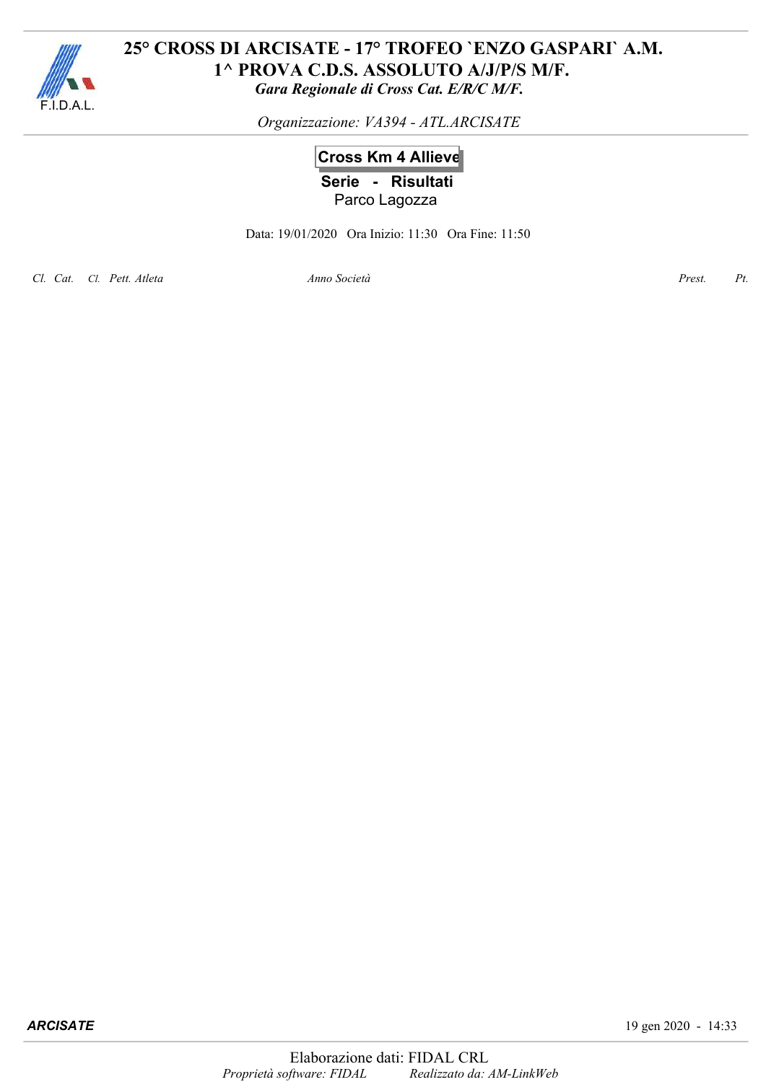

*Organizzazione: VA394 - ATL.ARCISATE*

# **Cross Km 4 Allieve Serie - Risultati** Parco Lagozza

Data: 19/01/2020 Ora Inizio: 11:30 Ora Fine: 11:50

*Cl. Cat. Cl. Pett. Atleta Anno Prest. Pt.*

*Società*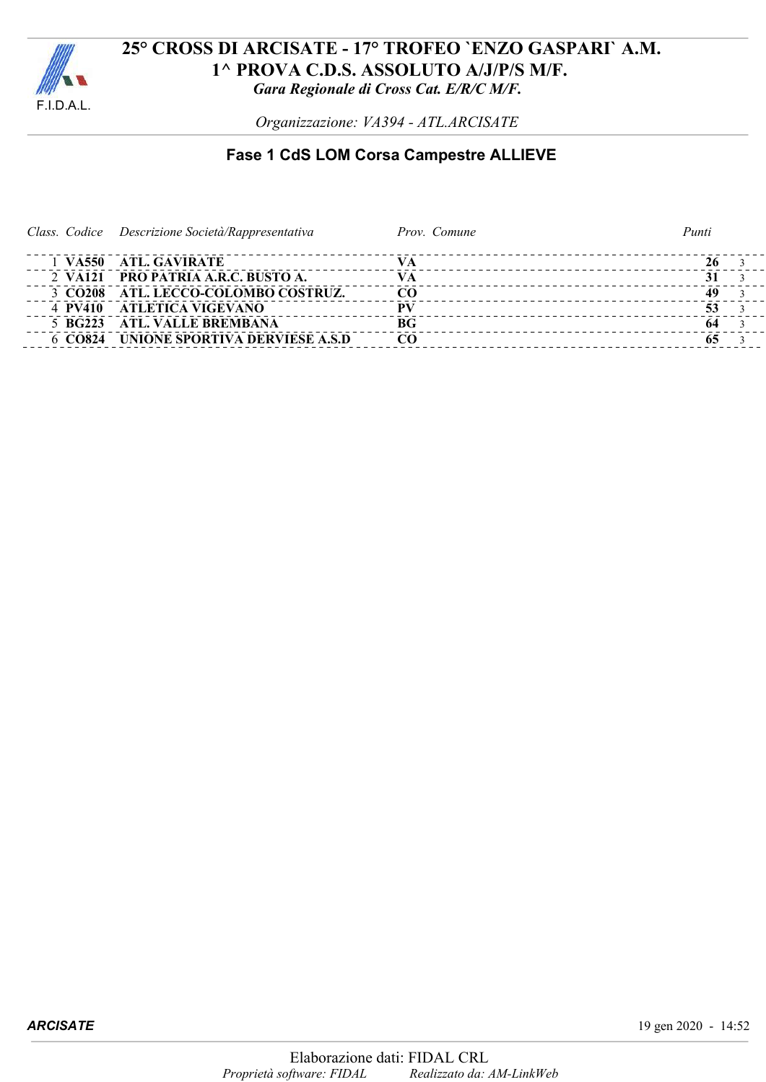

*Organizzazione: VA394 - ATL.ARCISATE*

# **Fase 1 CdS LOM Corsa Campestre ALLIEVE**

| Class. Codice Descrizione Società/Rappresentativa | Prov. Comune    | Punti |
|---------------------------------------------------|-----------------|-------|
| 1 VA550 ATL GAVIRATE                              |                 |       |
| 2 VA121 PRO PATRIA A.R.C. BUSTO A.                | VА              |       |
| 3 CO208 ATL. LECCO-COLOMBO COSTRUZ.               | CO.             | 49    |
| 4 PV410 ATLETICA VIGEVANO                         | PV              | 53    |
| 5 BG223 ATL. VALLE BREMBANA                       | BG <sub>r</sub> | 64    |
| 6 CO824 UNIONE SPORTIVA DERVIESE A.S.D            | CO.             |       |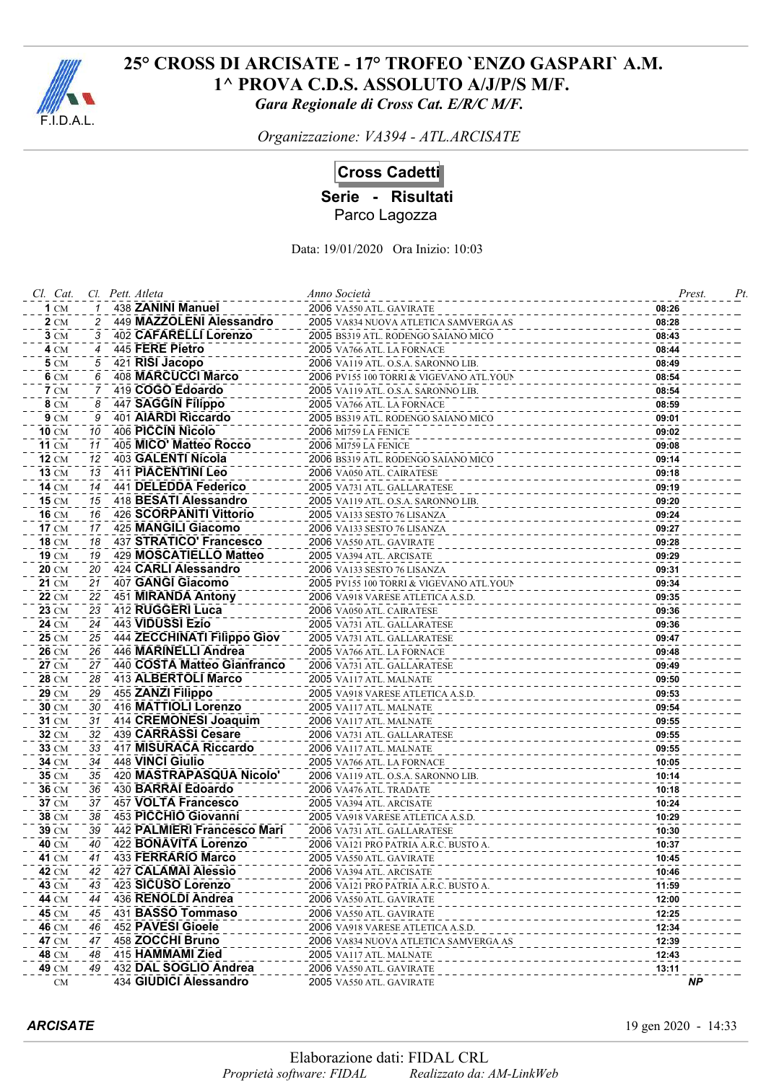

*Organizzazione: VA394 - ATL.ARCISATE*

## **Cross Cadetti**

**Serie - Risultati**

Parco Lagozza

| Cl. Cat.       |          | Cl. Pett. Atleta                          | Anno Società                                        |                | Pt<br>Prest. |
|----------------|----------|-------------------------------------------|-----------------------------------------------------|----------------|--------------|
| $1 \text{CM}$  |          | 438 ZANINI Manuel                         | 2006 VA550 ATL. GAVIRATE                            | 08:26          |              |
| <b>2</b> CM    | 2        | 449 MAZZOLENI Alessandro                  | 2005 VA834 NUOVA ATLETICA SAMVERGA AS               | 08:28          |              |
| 3 CM           | 3        | 402 CAFARELLI Lorenzo                     | 2005 BS319 ATL. RODENGO SAIANO MICO                 | 08:43          |              |
| $4 \text{ CM}$ | 4        | 445 FERE Pietro                           | 2005 VA766 ATL. LA FORNACE                          | 08:44          |              |
| <b>5</b> CM    | 5        | 421 RISI Jacopo                           | 2006 VA119 ATL. O.S.A. SARONNO LIB.                 | 08:49          |              |
| 6 CM           | 6        | <b>408 MARCUCCI Marco</b>                 | 2006 PV155 100 TORRI & VIGEVANO ATL.YOUN            | 08:54          |              |
| $7 \text{ cm}$ | 7        | 419 COGO Edoardo                          | 2005 VA119 ATL. O.S.A. SARONNO LIB.                 | 08:54          |              |
| 8 CM           | 8        | 447 SAGGIN Filippo                        | 2005 VA766 ATL. LA FORNACE                          | 08:59          |              |
| 9 CM           | 9        | 401 AIARDI Riccardo                       | 2005 BS319 ATL. RODENGO SAIANO MICO                 | 09:01          |              |
| <b>10 CM</b>   | 10       | 406 PICCIN Nicolo                         | <b>2006 MI759 LA FENICE</b>                         | 09:02          |              |
| <b>11 CM</b>   | 11       | 405 MICO' Matteo Rocco                    | <b>2006 MI759 LA FENICE</b>                         | 09:08          |              |
| <b>12 CM</b>   | 12       | 403 GALENTI Nicola                        | 2006 BS319 ATL. RODENGO SAIANO MICO                 | 09:14          |              |
| <b>13 CM</b>   | 13       | 411 PIACENTINI Leo                        | 2006 VA050 ATL. CAIRATESE                           | 09:18          |              |
| <b>14 CM</b>   | 14       | 441 DELEDDA Federico                      | 2005 VA731 ATL. GALLARATESE                         | 09:19          |              |
| <b>15 CM</b>   | 15       | 418 BESATI Alessandro                     | 2005 VA119 ATL. O.S.A. SARONNO LIB.                 | 09:20          |              |
| 16 CM          | 16       | 426 SCORPANITI Vittorio                   | 2005 VA133 SESTO 76 LISANZA                         | 09:24          |              |
| <b>17 CM</b>   | 17       | 425 MANGILI Giacomo                       | 2006 VA133 SESTO 76 LISANZA                         | 09:27          |              |
| <b>18 CM</b>   | 18       | 437 STRATICO' Francesco                   | 2006 VA550 ATL. GAVIRATE                            | 09:28          |              |
| 19 CM          | 19       | 429 MOSCATIELLO Matteo                    | 2005 VA394 ATL. ARCISATE                            | 09:29          |              |
| <b>20 CM</b>   | 20       | 424 CARLI Alessandro                      | 2006 VA133 SESTO 76 LISANZA                         | 09:31          |              |
| 21 CM          | 21       | 407 GANGI Giacomo                         | 2005 PV155 100 TORRI & VIGEVANO ATL.YOUN            | 09:34          |              |
| <b>22 CM</b>   | 22       | 451 MIRANDA Antony                        | 2006 VA918 VARESE ATLETICA A.S.D.                   | 09:35          |              |
| 23 CM          | 23       | 412 RUGGERI Luca                          | 2006 VA050 ATL. CAIRATESE                           | 09:36          |              |
| 24 CM          | 24       | 443 VIDUSSI Ezio                          | 2005 VA731 ATL. GALLARATESE                         | 09:36          |              |
| 25 CM          | 25       | 444 ZECCHINATI Filippo Giov               | 2005 VA731 ATL. GALLARATESE                         | 09:47          |              |
| <b>26 CM</b>   | 26       | 446 MARINELLI Andrea                      | 2005 VA766 ATL. LA FORNACE                          | 09:48          |              |
| 27 CM          | 27       | 440 COSTA Matteo Gianfranco               | 2006 VA731 ATL. GALLARATESE                         | 09:49          |              |
| 28 CM          | 28       | 413 ALBERTOLI Marco                       | 2005 VA117 ATL. MALNATE                             | 09:50          |              |
| 29 CM          | 29       | 455 ZANZI Filippo                         | 2005 VA918 VARESE ATLETICA A.S.D.                   | 09:53          |              |
| 30 CM          | 30       | 416 MATTIOLI Lorenzo                      | 2005 VA117 ATL. MALNATE                             | 09:54          |              |
| <b>31 CM</b>   | 31       | 414 CREMONESI Joaquim                     | 2006 VA117 ATL. MALNATE                             | 09:55          |              |
| 32 CM          | 32       | 439 CARRASSI Cesare                       | 2006 VA731 ATL. GALLARATESE                         | 09:55          |              |
| 33 CM          | 33<br>34 | 417 MISURACA Riccardo<br>448 VINCI Giulio | 2006 VA117 ATL. MALNATE                             | 09:55          |              |
| 34 CM          | 35       | 420 MASTRAPASQUA Nicolo'                  | 2005 VA766 ATL. LA FORNACE                          | 10:05          |              |
| 35 CM<br>36 CM |          | 430 BARRAI Edoardo                        | 2006 VA119 ATL. O.S.A. SARONNO LIB.                 | 10:14          |              |
| 37 CM          | 36<br>37 | 457 VOLTA Francesco                       | 2006 VA476 ATL. TRADATE<br>2005 VA394 ATL. ARCISATE | 10:18<br>10:24 |              |
| 38 CM          | 38       | 453 PICCHIO Giovanni                      | 2005 VA918 VARESE ATLETICA A.S.D.                   | 10:29          |              |
| 39 CM          | 39       | 442 PALMIERI Francesco Mari               | 2006 VA731 ATL. GALLARATESE                         | 10:30          |              |
| <b>40 CM</b>   | 40       | 422 BONAVITA Lorenzo                      | 2006 VA121 PRO PATRIA A.R.C. BUSTO A.               | 10:37          |              |
| 41 CM          | 41       | 433 FERRARIO Marco                        | 2005 VA550 ATL. GAVIRATE                            | 10:45          |              |
| 42 CM          | 42       | <b>427 CALAMAI Alessio</b>                | 2006 VA394 ATL. ARCISATE                            | 10:46          |              |
| 43 CM          | 43       | 423 SICUSO Lorenzo                        | 2006 VA121 PRO PATRIA A.R.C. BUSTO A                | 11:59          |              |
| 44 CM          | 44       | 436 RENOLDI Andrea                        | 2006 VA550 ATL. GAVIRATE                            | 12:00          |              |
| 45 CM          | 45       | 431 BASSO Tommaso                         | 2006 VA550 ATL. GAVIRATE                            | 12:25          |              |
| <b>46 CM</b>   | 46       | 452 PAVESI Gioele                         | 2006 VA918 VARESE ATLETICA A.S.D.                   | 12:34          |              |
| 47 CM          | 47       | 458 ZOCCHI Bruno                          | 2006 VA834 NUOVA ATLETICA SAMVERGA AS               | 12:39          |              |
| 48 CM          | 48       | 415 HAMMAMI Zied                          | 2005 VA117 ATL. MALNATE                             | 12:43          |              |
| 49 CM          | 49       | 432 DAL SOGLIO Andrea                     | 2006 VA550 ATL. GAVIRATE                            | 13:11          |              |
| <b>CM</b>      |          | 434 GIUDICI Alessandro                    | 2005 VA550 ATL. GAVIRATE                            |                | <b>NP</b>    |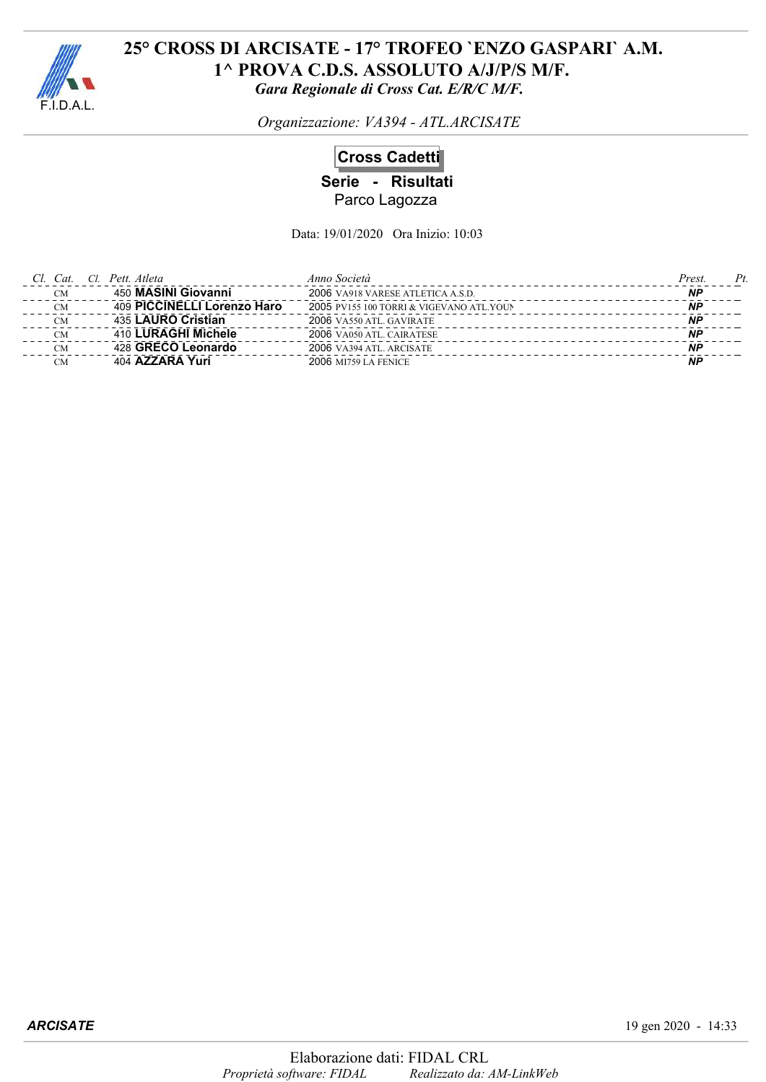

*Organizzazione: VA394 - ATL.ARCISATE*

## **Cross Cadetti**

**Serie - Risultati** Parco Lagozza

| Cl. Cat.  | Cl. Pett. Atleta            | Anno Società                             | $P_t$<br>Prest. |
|-----------|-----------------------------|------------------------------------------|-----------------|
| <b>CM</b> | 450 MASINI Giovanni         | 2006 VA918 VARESE ATLETICA A.S.D.        | ΝP              |
| <b>CM</b> | 409 PICCINELLI Lorenzo Haro | 2005 PV155 100 TORRI & VIGEVANO ATL.YOUN | <b>NP</b>       |
| <b>CM</b> | 435 LAURO Cristian          | 2006 VA550 ATL. GAVIRATE                 | ΝP              |
| CM        | 410 LURAGHI Michele         | 2006 VA050 ATL. CAIRATESE                | ΝP              |
| <b>CM</b> | 428 GRECO Leonardo          | 2006 VA394 ATL. ARCISATE                 | <b>NP</b>       |
| CM        | 404 AZZARA Yuri             | <b>2006 MI759 LA FENICE</b>              | <b>NP</b>       |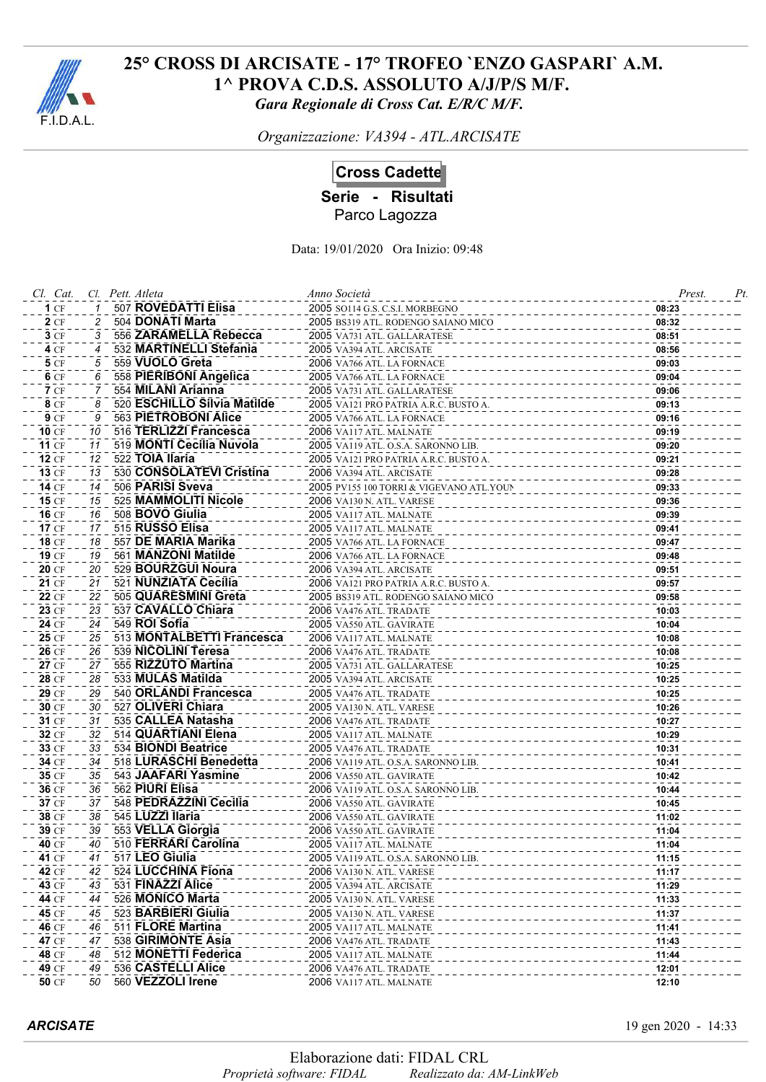

*Organizzazione: VA394 - ATL.ARCISATE*

# **Cross Cadette**

**Serie - Risultati**

Parco Lagozza

| Cl. Cat.     |    | Cl. Pett. Atleta            | Anno Società                             | Prest. | Pt |
|--------------|----|-----------------------------|------------------------------------------|--------|----|
| 1CF          |    | <b>507 ROVEDATTI Elisa</b>  | 2005 SO114 G.S. C.S.I. MORBEGNO          | 08:23  |    |
| 2CF          |    | 504 DONATI Marta            | 2005 BS319 ATL. RODENGO SAIANO MICO      | 08:32  |    |
| 3CF          | 3  | 556 ZARAMELLA Rebecca       | 2005 VA731 ATL. GALLARATESE              | 08:51  |    |
| 4CF          | 4  | 532 MARTINELLI Stefania     | 2005 VA394 ATL. ARCISATE                 | 08:56  |    |
| <b>5</b> CF  | 5  | 559 VUOLO Greta             | 2006 VA766 ATL. LA FORNACE               | 09:03  |    |
| 6 CF         | 6  | 558 PIERIBONI Angelica      | 2005 VA766 ATL. LA FORNACE               | 09:04  |    |
| 7CF          | 7  | 554 MILANI Arianna          | 2005 VA731 ATL. GALLARATESE              | 09:06  |    |
| <b>8</b> CF  | 8  | 520 ESCHILLO Silvia Matilde | 2005 VA121 PRO PATRIA A.R.C. BUSTO A.    | 09:13  |    |
| <b>9</b> CF  | 9  | 563 PIETROBONI Alice        | 2005 VA766 ATL. LA FORNACE               | 09:16  |    |
| 10 CF        | 10 | 516 TERLIZZI Francesca      | 2006 VA117 ATL. MALNATE                  | 09:19  |    |
| <b>11 CF</b> | 11 | 519 MONTI Cecilia Nuvola    | 2005 VA119 ATL. O.S.A. SARONNO LIB.      | 09:20  |    |
| 12 CF        | 12 | 522 TOIA Ilaria             | 2005 VA121 PRO PATRIA A.R.C. BUSTO A.    | 09:21  |    |
| <b>13 CF</b> | 13 | 530 CONSOLATEVI Cristina    | 2006 VA394 ATL. ARCISATE                 | 09:28  |    |
| <b>14 CF</b> | 14 | 506 PARISI Sveva            | 2005 PV155 100 TORRI & VIGEVANO ATL.YOUN | 09:33  |    |
| <b>15 CF</b> | 15 | 525 MAMMOLITI Nicole        | 2006 VA130 N. ATL. VARESE                | 09:36  |    |
| 16 CF        | 16 | 508 BOVO Giulia             | 2005 VA117 ATL. MALNATE                  | 09:39  |    |
| 17 CF        | 17 | 515 RUSSO Elisa             | 2005 VA117 ATL. MALNATE                  | 09:41  |    |
| <b>18 CF</b> | 18 | 557 DE MARIA Marika         | 2005 VA766 ATL. LA FORNACE               | 09:47  |    |
| 19 CF        | 19 | 561 MANZONI Matilde         | 2006 VA766 ATL. LA FORNACE               | 09:48  |    |
| <b>20 CF</b> | 20 | 529 BOURZGUI Noura          | 2006 VA394 ATL. ARCISATE                 | 09:51  |    |
| 21 CF        | 21 | 521 NUNZIATA Cecilia        | 2006 VA121 PRO PATRIA A.R.C. BUSTO A.    | 09:57  |    |
| 22 CF        | 22 | 505 QUARESMINI Greta        | 2005 BS319 ATL. RODENGO SAIANO MICO      | 09:58  |    |
| 23 CF        | 23 | 537 CAVALLO Chiara          | 2006 VA476 ATL. TRADATE                  | 10:03  |    |
| 24 CF        | 24 | 549 ROI Sofia               | 2005 VA550 ATL. GAVIRATE                 | 10:04  |    |
| 25 CF        | 25 | 513 MONTALBETTI Francesca   | 2006 VA117 ATL. MALNATE                  | 10:08  |    |
| 26 CF        | 26 | 539 NICOLINI Teresa         | 2006 VA476 ATL. TRADATE                  | 10:08  |    |
| 27 CF        | 27 | 555 RIZZUTO Martina         | 2005 VA731 ATL. GALLARATESE              | 10:25  |    |
| 28 CF        | 28 | 533 MULAS Matilda           | 2005 VA394 ATL. ARCISATE                 | 10:25  |    |
| 29 CF        | 29 | 540 ORLANDI Francesca       | 2005 VA476 ATL. TRADATE                  | 10:25  |    |
| 30 CF        | 30 | 527 OLIVERI Chiara          | 2005 VA130 N. ATL. VARESE                | 10:26  |    |
| 31 CF        | 31 | 535 CALLEA Natasha          | 2006 VA476 ATL. TRADATE                  | 10:27  |    |
| 32 CF        | 32 | 514 QUARTIANI Elena         | 2005 VA117 ATL. MALNATE                  | 10:29  |    |
| 33 CF        | 33 | 534 BIONDI Beatrice         | 2005 VA476 ATL. TRADATE                  | 10:31  |    |
| 34 CF        | 34 | 518 LURASCHI Benedetta      | 2006 VA119 ATL. O.S.A. SARONNO LIB.      | 10:41  |    |
| 35 CF        | 35 | 543 JAAFARI Yasmine         | 2006 VA550 ATL. GAVIRATE                 | 10:42  |    |
| 36 CF        | 36 | 562 PIURI Elisa             | 2006 VA119 ATL. O.S.A. SARONNO LIB.      | 10:44  |    |
| 37 CF        | 37 | 548 PEDRAZZINI Cecilia      | 2006 VA550 ATL. GAVIRATE                 | 10:45  |    |
| 38 CF        | 38 | 545 LUZZI Ilaria            | 2006 VA550 ATL. GAVIRATE                 | 11:02  |    |
| 39 CF        | 39 | 553 VELLA Giorgia           | 2006 VA550 ATL. GAVIRATE                 | 11:04  |    |
| 40 CF        | 40 | 510 FERRARI Carolina        | 2005 VA117 ATL. MALNATE                  | 11:04  |    |
| 41 CF        | 41 | 517 LEO Giulia              | 2005 VA119 ATL, O.S.A. SARONNO LIB.      | 11:15  |    |
| 42 CF        | 42 | 524 LUCCHINA Fiona          | 2006 VA130 N. ATL. VARESE                | 11:17  |    |
| 43 CF        | 43 | 531 FINAZZI Alice           | 2005 VA394 ATL. ARCISATE                 | 11:29  |    |
| 44 CF        | 44 | 526 MONICO Marta            | 2005 VA130 N. ATL. VARESE                | 11:33  |    |
| 45 CF        | 45 | 523 BARBIERI Giulia         | 2005 VA130 N. ATL. VARESE                | 11:37  |    |
| 46 CF        | 46 | 511 FLORE Martina           | 2005 VA117 ATL. MALNATE                  | 11:41  |    |
| 47 CF        | 47 | 538 GIRIMONTE Asia          | 2006 VA476 ATL. TRADATE                  | 11:43  |    |
| 48 CF        | 48 | 512 MONETTI Federica        | 2005 VA117 ATL. MALNATE                  | 11:44  |    |
| 49 CF        | 49 | 536 CASTELLI Alice          | 2006 VA476 ATL. TRADATE                  | 12:01  |    |
| <b>50 CF</b> | 50 | 560 VEZZOLI Irene           | 2006 VA117 ATL. MALNATE                  | 12:10  |    |
|              |    |                             |                                          |        |    |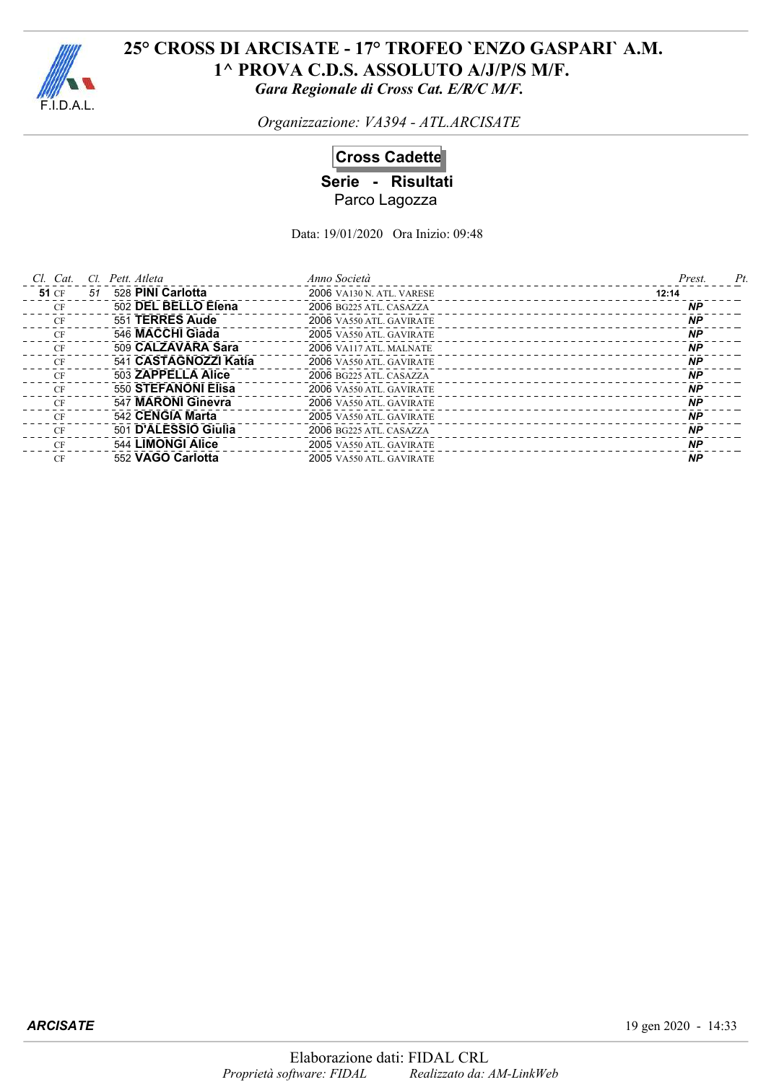

*Organizzazione: VA394 - ATL.ARCISATE*

## **Cross Cadette**

**Serie - Risultati** Parco Lagozza

| $Cl.$ $Cat.$ | CI. | Pett. Atleta          | Anno Società                     | Prest.<br>Pt |
|--------------|-----|-----------------------|----------------------------------|--------------|
| <b>51 CF</b> | 51  | 528 PINI Carlotta     | <b>2006</b> VA130 N. ATL. VARESE | 12:14        |
| CF           |     | 502 DEL BELLO Elena   | 2006 BG225 ATL. CASAZZA          | <b>NP</b>    |
| CF           |     | 551 TERRES Aude       | 2006 VA550 ATL. GAVIRATE         | <b>NP</b>    |
| <b>CF</b>    |     | 546 MACCHI Giada      | 2005 VA550 ATL. GAVIRATE         | <b>NP</b>    |
| CF           |     | 509 CALZAVARA Sara    | 2006 VA117 ATL. MALNATE          | <b>NP</b>    |
| CF           |     | 541 CASTAGNOZZI Katia | 2006 VA550 ATL. GAVIRATE         | <b>NP</b>    |
| CF           |     | 503 ZAPPELLA Alice    | 2006 BG225 ATL. CASAZZA          | <b>NP</b>    |
| CF           |     | 550 STEFANONI Elisa   | 2006 VA550 ATL. GAVIRATE         | <b>NP</b>    |
| CF           |     | 547 MARONI Ginevra    | 2006 VA550 ATL. GAVIRATE         | <b>NP</b>    |
| CF           |     | 542 CENGIA Marta      | 2005 VA550 ATL. GAVIRATE         | <b>NP</b>    |
| CF           |     | 501 D'ALESSIO Giulia  | 2006 BG225 ATL. CASAZZA          | <b>NP</b>    |
| CF           |     | 544 LIMONGI Alice     | 2005 VA550 ATL. GAVIRATE         | <b>NP</b>    |
| CF           |     | 552 VAGO Carlotta     | 2005 VA550 ATL GAVIRATE          | <b>NP</b>    |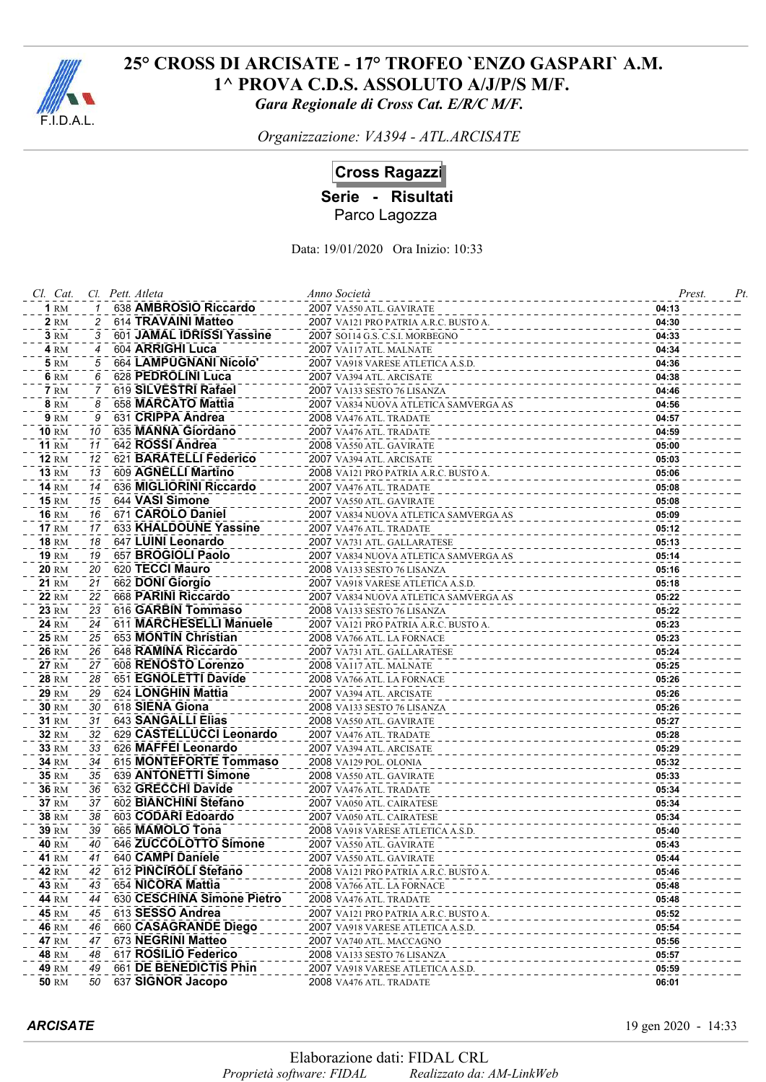

*Organizzazione: VA394 - ATL.ARCISATE*

# **Cross Ragazzi**

**Serie - Risultati**

Parco Lagozza

| Cl. Cat.              |    | Cl. Pett. Atleta           | Anno Società                          | Prest. | Pt |
|-----------------------|----|----------------------------|---------------------------------------|--------|----|
| $1 \text{ RM}$        |    | 638 AMBROSIO Riccardo      | 2007 VA550 ATL. GAVIRATE              | 04:13  |    |
| <b>2</b> RM           |    | 614 TRAVAINI Matteo        | 2007 VA121 PRO PATRIA A.R.C. BUSTO A. | 04:30  |    |
| <b>3 RM</b>           | 3  | 601 JAMAL IDRISSI Yassine  | 2007 SO114 G.S. C.S.I. MORBEGNO       | 04:33  |    |
| <b>4 RM</b>           | 4  | 604 ARRIGHI Luca           | 2007 VA117 ATL. MALNATE               | 04:34  |    |
| <b>5</b> RM           | 5  | 664 LAMPUGNANI Nicolo'     | 2007 VA918 VARESE ATLETICA A.S.D.     | 04:36  |    |
| 6 RM                  | 6  | 628 PEDROLINI Luca         | 2007 VA394 ATL. ARCISATE              | 04:38  |    |
| <b>7</b> RM           | 7  | 619 SILVESTRI Rafael       | 2007 VA133 SESTO 76 LISANZA           | 04:46  |    |
| <b>8</b> RM           | 8  | 658 MARCATO Mattia         | 2007 VA834 NUOVA ATLETICA SAMVERGA AS | 04:56  |    |
| <b>9 RM</b>           | 9  | 631 CRIPPA Andrea          | 2008 VA476 ATL. TRADATE               | 04:57  |    |
| <b>10</b> RM          | 10 | 635 MANNA Giordano         | 2007 VA476 ATL. TRADATE               | 04:59  |    |
| <b>11 RM</b>          | 11 | 642 ROSSI Andrea           | 2008 VA550 ATL. GAVIRATE              | 05:00  |    |
| <b>12 RM</b>          | 12 | 621 BARATELLI Federico     | 2007 VA394 ATL. ARCISATE              | 05:03  |    |
| <b>13 RM</b>          | 13 | 609 AGNELLI Martino        | 2008 VA121 PRO PATRIA A.R.C. BUSTO A. | 05:06  |    |
| <b>14 RM</b>          | 14 | 636 MIGLIORINI Riccardo    | 2007 VA476 ATL. TRADATE               | 05:08  |    |
| <b>15 RM</b>          | 15 | 644 VASI Simone            | 2007 VA550 ATL. GAVIRATE              | 05:08  |    |
| <b>16 RM</b>          | 16 | 671 CAROLO Daniel          | 2007 VA834 NUOVA ATLETICA SAMVERGA AS | 05:09  |    |
| <b>17 RM</b>          | 17 | 633 KHALDOUNE Yassine      | 2007 VA476 ATL. TRADATE               | 05:12  |    |
| <b>18 RM</b>          | 18 | 647 LUINI Leonardo         | 2007 VA731 ATL. GALLARATESE           | 05:13  |    |
| 19 RM                 | 19 | 657 BROGIOLI Paolo         | 2007 VA834 NUOVA ATLETICA SAMVERGA AS | 05:14  |    |
| 20 RM                 | 20 | 620 TECCI Mauro            | 2008 VA133 SESTO 76 LISANZA           | 05:16  |    |
| 21 RM                 | 21 | 662 DONI Giorgio           | 2007 VA918 VARESE ATLETICA A.S.D.     | 05:18  |    |
| <b>22 RM</b>          | 22 | 668 PARINI Riccardo        | 2007 VA834 NUOVA ATLETICA SAMVERGA AS | 05:22  |    |
| <b>23 RM</b>          | 23 | 616 GARBIN Tommaso         | 2008 VA133 SESTO 76 LISANZA           | 05:22  |    |
| 24 RM                 | 24 | 611 MARCHESELLI Manuele    | 2007 VA121 PRO PATRIA A.R.C. BUSTO A. | 05:23  |    |
| 25 RM                 | 25 | 653 MONTIN Christian       | 2008 VA766 ATL. LA FORNACE            | 05:23  |    |
| 26 RM                 | 26 | 648 RAMINA Riccardo        | 2007 VA731 ATL. GALLARATESE           | 05:24  |    |
| <b>27 RM</b>          | 27 | 608 RENOSTO Lorenzo        | 2008 VA117 ATL. MALNATE               | 05:25  |    |
| <b>28 RM</b>          | 28 | 651 EGNOLETTI Davide       | 2008 VA766 ATL. LA FORNACE            | 05:26  |    |
| 29 RM                 | 29 | 624 LONGHIN Mattia         | 2007 VA394 ATL. ARCISATE              | 05:26  |    |
| 30 RM                 | 30 | 618 SIENA Giona            | 2008 VA133 SESTO 76 LISANZA           | 05:26  |    |
| <b>31 RM</b>          | 31 | 643 SANGALLI Elias         | 2008 VA550 ATL. GAVIRATE              | 05:27  |    |
| <b>32 RM</b>          | 32 | 629 CASTELLUCCI Leonardo   | 2007 VA476 ATL. TRADATE               | 05:28  |    |
| 33 RM                 | 33 | 626 MAFFEI Leonardo        | 2007 VA394 ATL. ARCISATE              | 05:29  |    |
| 34 RM                 | 34 | 615 MONTEFORTE Tommaso     | 2008 VA129 POL. OLONIA                | 05:32  |    |
| 35 RM                 | 35 | 639 ANTONETTI Simone       | 2008 VA550 ATL. GAVIRATE              | 05:33  |    |
| <b>36 RM</b>          | 36 | 632 GRECCHI Davide         | 2007 VA476 ATL. TRADATE               | 05:34  |    |
| 37 RM                 | 37 | 602 BIANCHINI Stefano      | 2007 VA050 ATL. CAIRATESE             | 05:34  |    |
| <b>38 RM</b>          | 38 | 603 CODARI Edoardo         | 2007 VA050 ATL. CAIRATESE             | 05:34  |    |
| 39 RM                 | 39 | 665 MAMOLO Tona            | 2008 VA918 VARESE ATLETICA A.S.D.     | 05:40  |    |
| 40 RM                 | 40 | 646 ZUCCOLOTTO Simone      | 2007 VA550 ATL. GAVIRATE              | 05:43  |    |
| <b>41 RM</b>          | 41 | 640 CAMPI Daniele          | 2007 VA550 ATL. GAVIRATE              | 05:44  |    |
| 42 RM                 | 42 | 612 PINCIROLI Stefano      | 2008 VA121 PRO PATRIA A.R.C. BUSTO A. | 05:46  |    |
| 43 RM                 | 43 | 654 NICORA Mattia          | 2008 VA766 ATL. LA FORNACE            | 05:48  |    |
| 44 RM                 | 44 | 630 CESCHINA Simone Pietro | 2008 VA476 ATL. TRADATE               | 05:48  |    |
| <b>45 RM</b>          | 45 | 613 SESSO Andrea           | 2007 VA121 PRO PATRIA A.R.C. BUSTO A. | 05:52  |    |
|                       | 46 | 660 CASAGRANDE Diego       |                                       |        |    |
| <b>46 RM</b>          | 47 | 673 NEGRINI Matteo         | 2007 VA918 VARESE ATLETICA A.S.D.     | 05:54  |    |
| <b>47 RM</b>          | 48 | 617 ROSILIO Federico       | 2007 VA740 ATL. MACCAGNO              | 05:56  |    |
| <b>48 RM</b><br>49 RM | 49 | 661 DE BENEDICTIS Phin     | 2008 VA133 SESTO 76 LISANZA           | 05:57  |    |
| <b>50 RM</b>          | 50 | 637 SIGNOR Jacopo          | 2007 VA918 VARESE ATLETICA A.S.D.     | 05:59  |    |
|                       |    |                            | 2008 VA476 ATL. TRADATE               | 06:01  |    |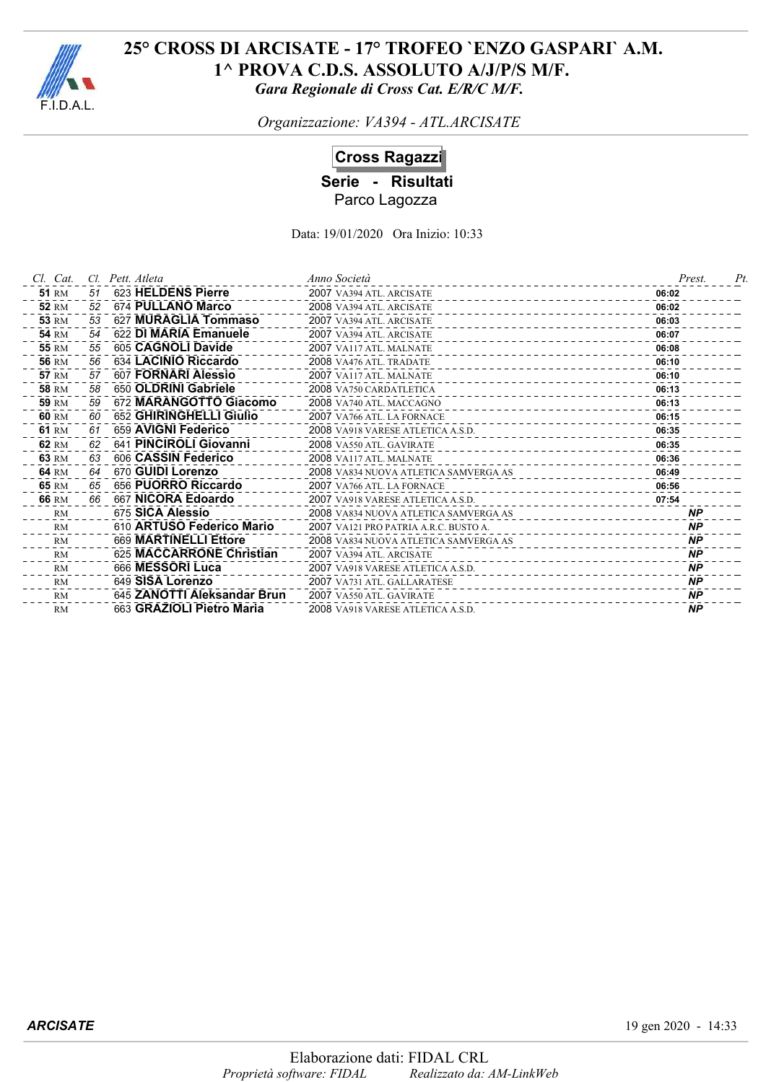

*Organizzazione: VA394 - ATL.ARCISATE*

# **Cross Ragazzi**

**Serie - Risultati** Parco Lagozza

| Cl. Cat.     | CI. | Pett. Atleta                | Anno Società                              | Prest.    | Pt |
|--------------|-----|-----------------------------|-------------------------------------------|-----------|----|
| <b>51 RM</b> | 51  | 623 HELDENS Pierre          | 2007 VA394 ATL. ARCISATE<br>------------- | 06:02     |    |
| <b>52 RM</b> | 52  | 674 PULLANO Marco           | 2008 VA394 ATL. ARCISATE                  | 06:02     |    |
| <b>53 RM</b> | 53  | 627 MURAGLIA Tommaso        | 2007 VA394 ATL. ARCISATE                  | 06:03     |    |
| <b>54 RM</b> | 54  | 622 DI MARIA Emanuele       | 2007 VA394 ATL. ARCISATE                  | 06:07     |    |
| <b>55 RM</b> | 55  | 605 CAGNOLI Davide          | 2007 VA117 ATL. MALNATE                   | 06:08     |    |
| <b>56 RM</b> | 56  | 634 LACINIO Riccardo        | 2008 VA476 ATL. TRADATE                   | 06:10     |    |
| <b>57 RM</b> | 57  | 607 FORNARI Alessio         | 2007 VA117 ATL. MALNATE                   | 06:10     |    |
| <b>58 RM</b> | 58  | 650 OLDRINI Gabriele        | 2008 VA750 CARDATLETICA                   | 06:13     |    |
| <b>59 RM</b> | 59  | 672 MARANGOTTO Giacomo      | 2008 VA740 ATL. MACCAGNO                  | 06:13     |    |
| 60 RM        | 60  | 652 GHIRINGHELLI Giulio     | 2007 VA766 ATL. LA FORNACE                | 06:15     |    |
| 61 RM        | 61  | 659 AVIGNI Federico         | 2008 VA918 VARESE ATLETICA A.S.D.         | 06:35     |    |
| 62 RM        | 62  | 641 PINCIROLI Giovanni      | 2008 VA550 ATL. GAVIRATE                  | 06:35     |    |
| 63 RM        | 63  | 606 CASSIN Federico         | 2008 VA117 ATL. MALNATE                   | 06:36     |    |
| 64 RM        | 64  | 670 GUIDI Lorenzo           | 2008 VA834 NUOVA ATLETICA SAMVERGA AS     | 06:49     |    |
| 65 RM        | 65  | 656 PUORRO Riccardo         | 2007 VA766 ATL. LA FORNACE                | 06:56     |    |
| 66 RM        | 66  | 667 NICORA Edoardo          | 2007 VA918 VARESE ATLETICA A.S.D.         | 07:54     |    |
| RM           |     | 675 SICA Alessio            | 2008 VA834 NUOVA ATLETICA SAMVERGA AS     | <b>NP</b> |    |
| RM           |     | 610 ARTUSO Federico Mario   | 2007 VA121 PRO PATRIA A.R.C. BUSTO A.     | <b>NP</b> |    |
| RM           |     | 669 MARTINELLI Ettore       | 2008 VA834 NUOVA ATLETICA SAMVERGA AS     | <b>NP</b> |    |
| RM           |     | 625 MACCARRONE Christian    | 2007 VA394 ATL. ARCISATE                  | <b>NP</b> |    |
| <b>RM</b>    |     | 666 MESSORI Luca            | 2007 VA918 VARESE ATLETICA A.S.D.         | <b>NP</b> |    |
| <b>RM</b>    |     | 649 SISA Lorenzo            | 2007 VA731 ATL. GALLARATESE               | <b>NP</b> |    |
| <b>RM</b>    |     | 645 ZANOTTI Aleksandar Brun | 2007 VA550 ATL. GAVIRATE                  | <b>NP</b> |    |
| <b>RM</b>    |     | 663 GRAZIOLI Pietro Maria   | 2008 VA918 VARESE ATLETICA A.S.D.         | <b>NP</b> |    |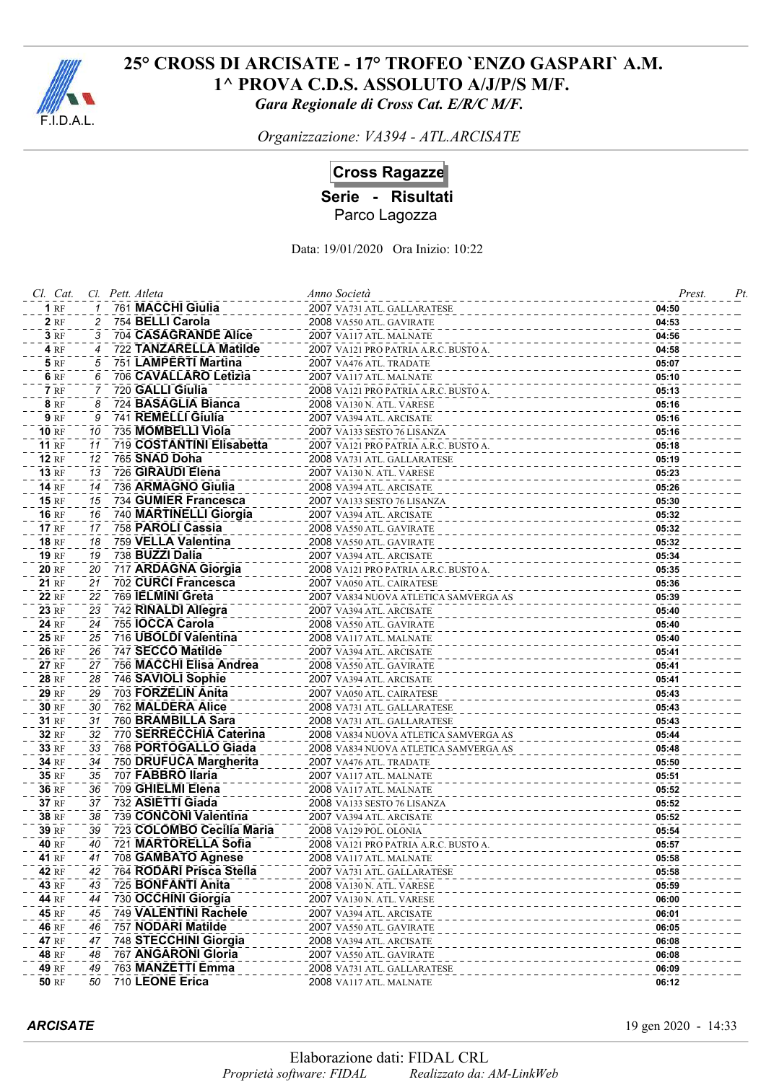

*Organizzazione: VA394 - ATL.ARCISATE*

**Cross Ragazze**

**Serie - Risultati**

Parco Lagozza

Data: 19/01/2020 Ora Inizio: 10:22

| Cl. Cat.     |    | Cl. Pett. Atleta          | Anno Società                          | Prest. | Pt |
|--------------|----|---------------------------|---------------------------------------|--------|----|
| 1RF          |    | 761 MACCHI Giulia         | 2007 VA731 ATL. GALLARATESE           | 04:50  |    |
| <b>2</b> RF  |    | 754 BELLI Carola          | 2008 VA550 ATL. GAVIRATE              | 04:53  |    |
| 3RF          | 3  | 704 CASAGRANDE Alice      | 2007 VA117 ATL. MALNATE               | 04:56  |    |
| 4 RF         | 4  | 722 TANZARELLA Matilde    | 2007 VA121 PRO PATRIA A.R.C. BUSTO A. | 04:58  |    |
| <b>5</b> RF  | 5  | 751 LAMPERTI Martina      | 2007 VA476 ATL. TRADATE               | 05:07  |    |
| 6 RF         | 6  | 706 CAVALLARO Letizia     | 2007 VA117 ATL. MALNATE               | 05:10  |    |
| <b>7</b> RF  |    | 720 GALLI Giulia          | 2008 VA121 PRO PATRIA A.R.C. BUSTO A. | 05:13  |    |
| <b>8</b> RF  | 8  | 724 BASAGLIA Bianca       | 2008 VA130 N. ATL. VARESE             | 05:16  |    |
| <b>9 RF</b>  | 9  | 741 REMELLI Giulia        | 2007 VA394 ATL. ARCISATE              | 05:16  |    |
| <b>10 RF</b> | 10 | 735 MOMBELLI Viola        | 2007 VA133 SESTO 76 LISANZA           | 05:16  |    |
| <b>11 RF</b> | 11 | 719 COSTANTINI Elisabetta | 2007 VA121 PRO PATRIA A.R.C. BUSTO A. | 05:18  |    |
| <b>12 RF</b> | 12 | 765 SNAD Doha             | 2008 VA731 ATL. GALLARATESE           | 05:19  |    |
| <b>13 RF</b> | 13 | 726 GIRAUDI Elena         | 2007 VA130 N. ATL. VARESE             | 05:23  |    |
| <b>14 RF</b> | 14 | 736 ARMAGNO Giulia        | 2008 VA394 ATL. ARCISATE              | 05:26  |    |
| <b>15 RF</b> | 15 | 734 GUMIER Francesca      | 2007 VA133 SESTO 76 LISANZA           | 05:30  |    |
| <b>16 RF</b> | 16 | 740 MARTINELLI Giorgia    | 2007 VA394 ATL. ARCISATE              | 05:32  |    |
| <b>17 RF</b> | 17 | 758 PAROLI Cassia         | 2008 VA550 ATL. GAVIRATE              | 05:32  |    |
| <b>18 RF</b> | 18 | 759 VELLA Valentina       | 2008 VA550 ATL. GAVIRATE              | 05:32  |    |
| <b>19 RF</b> | 19 | 738 BUZZI Dalia           | 2007 VA394 ATL. ARCISATE              | 05:34  |    |
| <b>20 RF</b> | 20 | 717 ARDAGNA Giorgia       | 2008 VA121 PRO PATRIA A.R.C. BUSTO A. | 05:35  |    |
| <b>21 RF</b> | 21 | 702 CURCI Francesca       | 2007 VA050 ATL. CAIRATESE             | 05:36  |    |
| <b>22 RF</b> | 22 | 769 IELMINI Greta         | 2007 VA834 NUOVA ATLETICA SAMVERGA AS | 05:39  |    |
| 23 RF        | 23 | 742 RINALDI Allegra       | 2007 VA394 ATL. ARCISATE              | 05:40  |    |
| 24 RF        | 24 | 755 IOCCA Carola          | 2008 VA550 ATL. GAVIRATE              | 05:40  |    |
| 25 RF        | 25 | 716 UBOLDI Valentina      | 2008 VA117 ATL. MALNATE               | 05:40  |    |
| 26 RF        | 26 | 747 SECCO Matilde         | 2007 VA394 ATL. ARCISATE              | 05:41  |    |
| <b>27 RF</b> | 27 | 756 MACCHI Elisa Andrea   | 2008 VA550 ATL. GAVIRATE              | 05:41  |    |
| <b>28 RF</b> | 28 | 746 SAVIOLI Sophie        | 2007 VA394 ATL. ARCISATE              | 05:41  |    |
| <b>29 RF</b> | 29 | 703 FORZELIN Anita        | 2007 VA050 ATL. CAIRATESE             | 05:43  |    |
| 30 RF        | 30 | 762 MALDERA Alice         | 2008 VA731 ATL. GALLARATESE           | 05:43  |    |
| 31 RF        | 31 | 760 BRAMBILLA Sara        | 2008 VA731 ATL. GALLARATESE           | 05:43  |    |
| 32 RF        | 32 | 770 SERRECCHIA Caterina   | 2008 VA834 NUOVA ATLETICA SAMVERGA AS | 05:44  |    |
| 33 RF        | 33 | 768 PORTOGALLO Giada      | 2008 VA834 NUOVA ATLETICA SAMVERGA AS | 05:48  |    |
| 34 RF        | 34 | 750 DRUFUCA Margherita    | 2007 VA476 ATL. TRADATE               | 05:50  |    |
| 35 RF        | 35 | 707 FABBRO Ilaria         | 2007 VA117 ATL. MALNATE               | 05:51  |    |
| 36 RF        | 36 | 709 GHIELMI Elena         | 2008 VA117 ATL. MALNATE               | 05:52  |    |
| 37 RF        | 37 | 732 ASIETTI Giada         | 2008 VA133 SESTO 76 LISANZA           | 05:52  |    |
| 38 RF        | 38 | 739 CONCONI Valentina     | 2007 VA394 ATL. ARCISATE              | 05:52  |    |
| 39 RF        | 39 | 723 COLOMBO Cecilia Maria | 2008 VA129 POL. OLONIA                | 05:54  |    |
| 40 RF        | 40 | 721 MARTORELLA Sofia      | 2008 VA121 PRO PATRIA A.R.C. BUSTO A. | 05:57  |    |
| 41 RF        | 41 | 708 GAMBATO Agnese        | 2008 VA117 ATL. MALNATE               | 05:58  |    |
| 42 RF        | 42 | 764 RODARI Prisca Stella  | 2007 VA731 ATL. GALLARATESE           | 05:58  |    |
| 43 RF        | 43 | 725 BONFANTI Anita        | 2008 VA130 N. ATL. VARESE             | 05:59  |    |
| 44 RF        | 44 | 730 OCCHINI Giorgia       | <b>2007</b> VA130 N. ATL. VARESE      | 06:00  |    |
| 45 RF        | 45 | 749 VALENTINI Rachele     | 2007 VA394 ATL. ARCISATE              | 06:01  |    |
| 46 RF        | 46 | 757 NODARI Matilde        | 2007 VA550 ATL. GAVIRATE              | 06:05  |    |
| 47 RF        | 47 | 748 STECCHINI Giorgia     | 2008 VA394 ATL. ARCISATE              | 06:08  |    |
| 48 RF        | 48 | 767 ANGARONI Gloria       | 2007 VA550 ATL. GAVIRATE              | 06:08  |    |
| 49 RF        | 49 | 763 MANZETTI Emma         | 2008 VA731 ATL. GALLARATESE           | 06:09  |    |
| <b>50 RF</b> | 50 | 710 LEONE Erica           | 2008 VA117 ATL. MALNATE               | 06:12  |    |

*ARCISATE* 19 gen 2020 - 14:33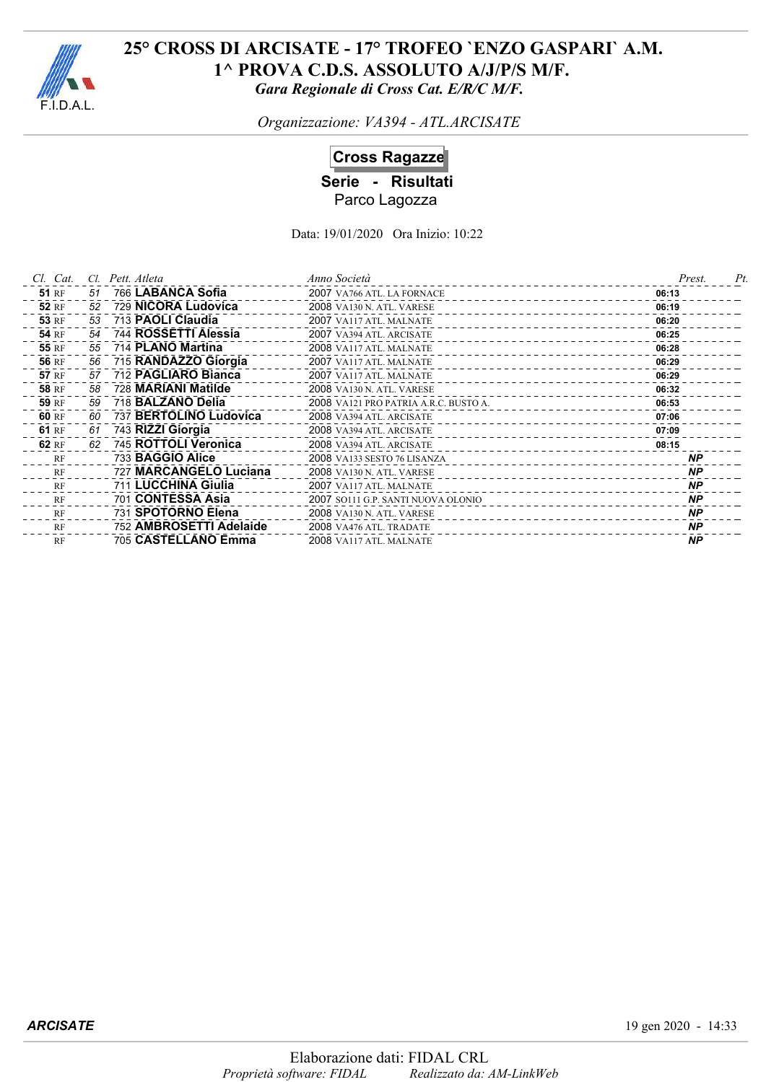

*Organizzazione: VA394 - ATL.ARCISATE*

# **Cross Ragazze**

**Serie - Risultati** Parco Lagozza

| Cl. Cat.     | Cl. | Pett. Atleta             | Anno Società                          | Prest.    | Pt |
|--------------|-----|--------------------------|---------------------------------------|-----------|----|
| <b>51 RF</b> | 51  | 766 LABANCA Sofia        | 2007 VA766 ATL. LA FORNACE            | 06:13     |    |
| <b>52 RF</b> | 52  | 729 NICORA Ludovica      | <b>2008 VA130 N. ATL. VARESE</b>      | 06:19     |    |
| <b>53 RF</b> | 53  | 713 PAOLI Claudia        | 2007 VA117 ATL. MALNATE               | 06:20     |    |
| <b>54 RF</b> | 54  | 744 ROSSETTI Alessia     | 2007 VA394 ATL. ARCISATE              | 06:25     |    |
| <b>55 RF</b> | 55  | 714 PLANO Martina        | 2008 VA117 ATL. MALNATE               | 06:28     |    |
| <b>56 RF</b> | 56  | 715 RANDAZZO Giorgia     | 2007 VA117 ATL. MALNATE               | 06:29     |    |
| <b>57 RF</b> | 57  | 712 PAGLIARO Bianca      | 2007 VA117 ATL. MALNATE               | 06:29     |    |
| <b>58 RF</b> | 58  | 728 MARIANI Matilde      | <b>2008 VA130 N. ATL. VARESE</b>      | 06:32     |    |
| 59 RF        | 59  | 718 <b>BALZANO Delia</b> | 2008 VA121 PRO PATRIA A.R.C. BUSTO A. | 06:53     |    |
| 60 RF        | 60  | 737 BERTOLINO Ludovica   | 2008 VA394 ATL. ARCISATE              | 07:06     |    |
| 61 RF        | 61  | 743 RIZZI Giorgia        | 2008 VA394 ATL. ARCISATE              | 07:09     |    |
| 62 RF        | 62  | 745 ROTTOLI Veronica     | 2008 VA394 ATL. ARCISATE              | 08:15     |    |
| RF           |     | 733 BAGGIO Alice         | 2008 VA133 SESTO 76 LISANZA           | <b>NP</b> |    |
| RF           |     | 727 MARCANGELO Luciana   | <b>2008 VA130 N. ATL. VARESE</b>      | <b>NP</b> |    |
| RF           |     | 711 LUCCHINA Giulia      | 2007 VA117 ATL. MALNATE               | <b>NP</b> |    |
| RF           |     | 701 CONTESSA Asia        | 2007 SO111 G.P. SANTI NUOVA OLONIO    | <b>NP</b> |    |
| RF           |     | 731 SPOTORNO Elena       | <b>2008</b> VA130 N. ATL. VARESE      | <b>NP</b> |    |
| RF           |     | 752 AMBROSETTI Adelaide  | 2008 VA476 ATL. TRADATE               | <b>NP</b> |    |
| RF           |     | 705 CASTELLANO Emma      | 2008 VA117 ATL. MALNATE               | <b>NP</b> |    |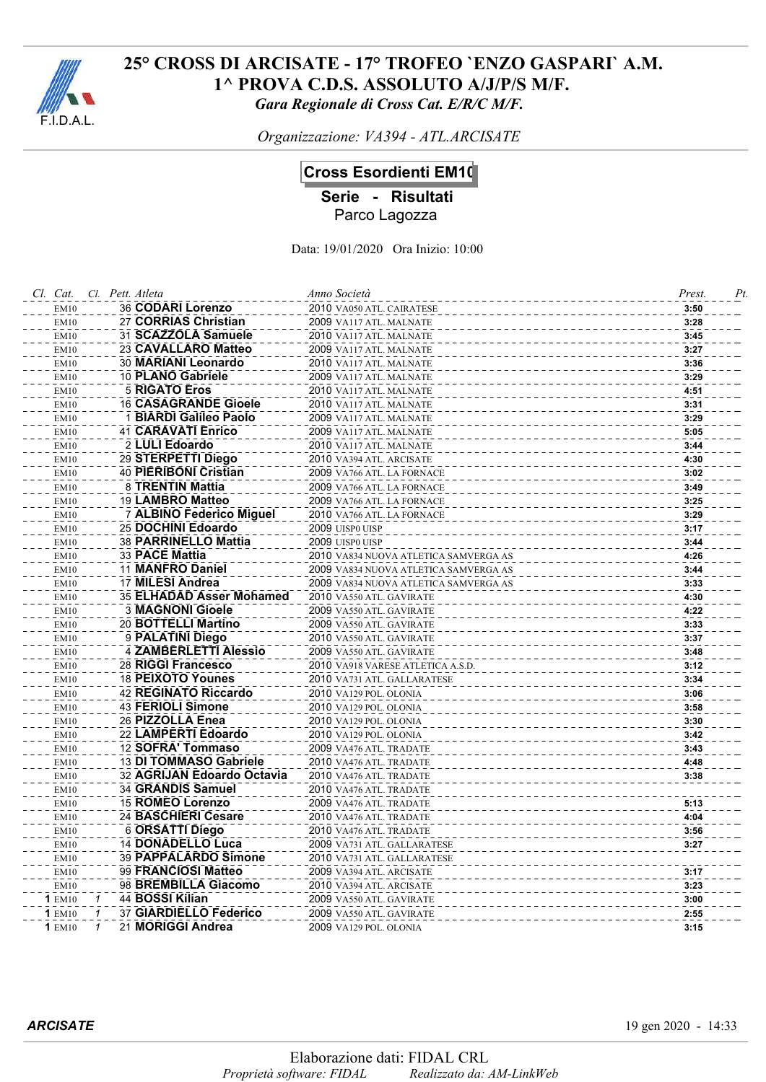

*Organizzazione: VA394 - ATL.ARCISATE*

# **Cross Esordienti EM10**

**Serie - Risultati**

Parco Lagozza

Data: 19/01/2020 Ora Inizio: 10:00

| Cl. Cat.            | Cl. Pett. Atleta                                        | Anno Società                                       | Prest.<br>Pt. |
|---------------------|---------------------------------------------------------|----------------------------------------------------|---------------|
| EM10                | 36 CODARI Lorenzo                                       | 2010 VA050 ATL. CAIRATESE                          | 3:50          |
| EM10                | 27 CORRIAS Christian                                    | 2009 VA117 ATL. MALNATE                            | 3:28          |
| <b>EM10</b>         | 31 SCAZZOLA Samuele                                     | 2010 VA117 ATL. MALNATE                            | 3:45          |
| EM10                | 23 CAVALLARO Matteo                                     | 2009 VA117 ATL. MALNATE                            | 3:27          |
| EM10                | 30 MARIANI Leonardo                                     | 2010 VA117 ATL. MALNATE                            | 3:36          |
| EM10                | 10 PLANO Gabriele                                       | 2009 VA117 ATL. MALNATE                            | 3:29          |
| <b>EM10</b>         | <b>5 RIGATO Eros</b>                                    | 2010 VA117 ATL. MALNATE                            | 4:51          |
| EM10                | <b>16 CASAGRANDE Gioele</b>                             | 2010 VA117 ATL. MALNATE                            | 3:31          |
| EM10                | 1 BIARDI Galileo Paolo                                  | 2009 VA117 ATL. MALNATE                            | 3:29          |
| <b>EM10</b>         | <b>41 CARAVATI Enrico</b>                               | 2009 VA117 ATL. MALNATE                            | 5:05          |
| EM10                | 2 LULI Edoardo                                          | 2010 VA117 ATL. MALNATE                            | 3:44          |
| <b>EM10</b>         | 29 STERPETTI Diego                                      | 2010 VA394 ATL. ARCISATE                           | 4:30          |
| EM10                | <b>40 PIERIBONI Cristian</b>                            | 2009 VA766 ATL. LA FORNACE                         | 3:02          |
| EM10                | 8 TRENTIN Mattia                                        | 2009 VA766 ATL. LA FORNACE                         | 3:49          |
| EM10                | 19 LAMBRO Matteo                                        | 2009 VA766 ATL. LA FORNACE                         | 3:25          |
| EM10                | 7 ALBINO Federico Miguel                                | 2010 VA766 ATL. LA FORNACE                         | 3:29          |
| EM10                | 25 DOCHINI Edoardo                                      | 2009 UISP0 UISP                                    | 3:17          |
| EM10                | 38 PARRINELLO Mattia                                    | 2009 UISP0 UISP                                    | 3:44          |
| EM10                | 33 PACE Mattia                                          | 2010 VA834 NUOVA ATLETICA SAMVERGA AS              | 4:26          |
| EM10                | 11 MANFRO Daniel                                        | 2009 VA834 NUOVA ATLETICA SAMVERGA AS              | 3:44          |
| EM10                | 17 MILESI Andrea                                        | 2009 VA834 NUOVA ATLETICA SAMVERGA AS              | 3:33          |
| EM10                | 35 ELHADAD Asser Mohamed                                | 2010 VA550 ATL. GAVIRATE                           | 4:30          |
| <b>EM10</b>         | <b>3 MAGNONI Gioele</b>                                 | 2009 VA550 ATL. GAVIRATE                           | 4:22          |
| EM10                | 20 BOTTELLI Martino                                     | 2009 VA550 ATL. GAVIRATE                           | 3:33          |
| EM10                | 9 PALATINI Diego                                        | 2010 VA550 ATL. GAVIRATE                           | 3:37          |
| EM10                | 4 ZAMBERLETTI Alessio                                   | 2009 VA550 ATL. GAVIRATE                           | 3:48          |
| EM10                | 28 RIGGI Francesco                                      | 2010 VA918 VARESE ATLETICA A.S.D.                  | 3:12          |
| EM10                | 18 PEIXOTO Younes                                       | 2010 VA731 ATL. GALLARATESE                        | 3:34          |
| EM10                | <b>42 REGINATO Riccardo</b><br><b>43 FERIOLI Simone</b> | 2010 VA129 POL. OLONIA                             | 3:06          |
| EM10                | 26 PIZZOLLA Enea                                        | 2010 VA129 POL. OLONIA                             | 3:58          |
| EM10<br><b>EM10</b> | 22 LAMPERTI Edoardo                                     | 2010 VA129 POL. OLONIA                             | 3:30          |
|                     | 12 SOFRA' Tommaso                                       | 2010 VA129 POL. OLONIA                             | 3:42<br>3:43  |
| EM10<br><b>EM10</b> | 13 DI TOMMASO Gabriele                                  | 2009 VA476 ATL. TRADATE<br>2010 VA476 ATL. TRADATE | 4:48          |
| EM10                | 32 AGRIJAN Edoardo Octavia                              | 2010 VA476 ATL. TRADATE                            | 3:38          |
| EM10                | 34 GRANDIS Samuel                                       | 2010 VA476 ATL. TRADATE                            |               |
| <b>EM10</b>         | 15 ROMEO Lorenzo                                        | 2009 VA476 ATL. TRADATE                            | 5:13          |
| <b>EM10</b>         | 24 BASCHIERI Cesare                                     | 2010 VA476 ATL. TRADATE                            | 4:04          |
| EM10                | 6 ORSATTI Diego                                         | 2010 VA476 ATL. TRADATE                            | 3:56          |
| EM10                | <b>14 DONADELLO Luca</b>                                | 2009 VA731 ATL. GALLARATESE                        | 3:27          |
| EM10                | 39 PAPPALARDO Simone                                    | 2010 VA731 ATL. GALLARATESE                        |               |
| EM10                | 99 FRANCIOSI Matteo                                     | 2009 VA394 ATL. ARCISATE                           | 3:17          |
| EM10                | 98 BREMBILLA Giacomo                                    | 2010 VA394 ATL. ARCISATE                           | 3:23          |
| <b>1 EM10</b>       | 44 BOSSI Kilian                                         | 2009 VA550 ATL. GAVIRATE                           | 3:00          |
| <b>1 EM10</b>       | 37 GIARDIELLO Federico<br>1                             | 2009 VA550 ATL. GAVIRATE                           | 2:55          |
| <b>1</b> EM10       | 21 MORIGGI Andrea                                       | 2009 VA129 POL. OLONIA                             | 3:15          |
|                     |                                                         |                                                    |               |

*ARCISATE* 19 gen 2020 - 14:33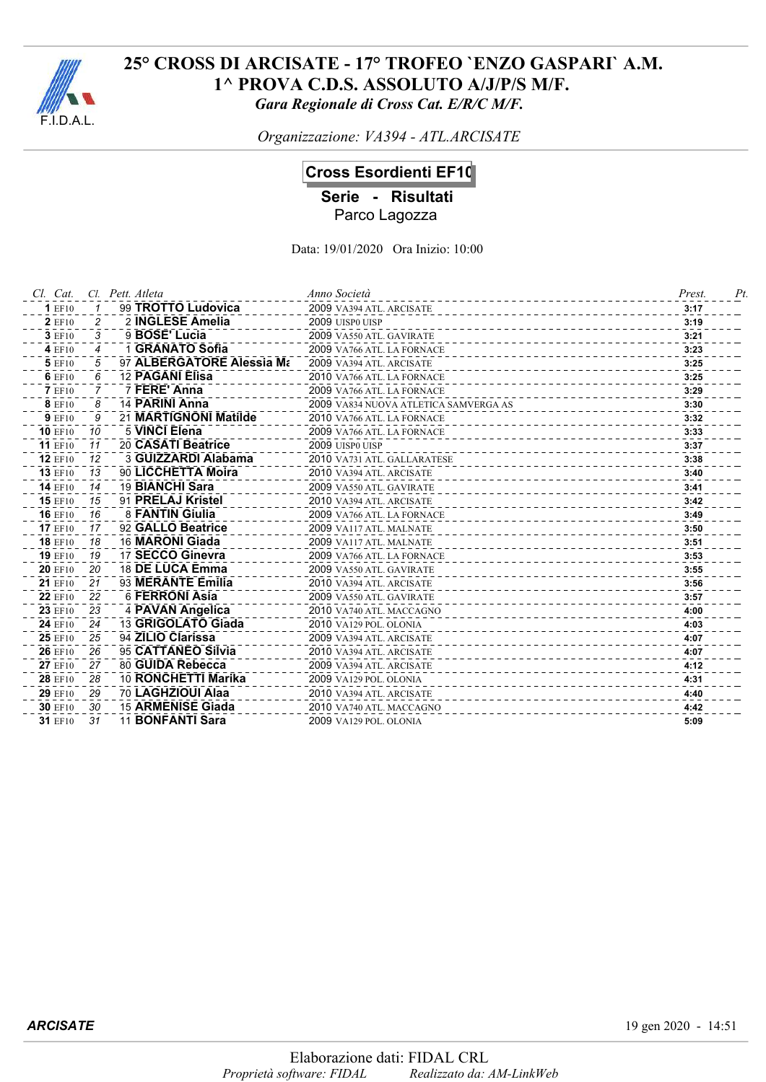

*Organizzazione: VA394 - ATL.ARCISATE*

## **Cross Esordienti EF10**

**Serie - Risultati**

Parco Lagozza

| Cl. Cat.       |                | Cl. Pett. Atleta          | Anno Società                          | Prest. | Pt |
|----------------|----------------|---------------------------|---------------------------------------|--------|----|
| <b>1 EF10</b>  |                | 99 TROTTO Ludovica        | 2009 VA394 ATL. ARCISATE              | 3:17   |    |
| <b>2</b> EF10  | 2              | 2 INGLESE Amelia          | 2009 UISP0 UISP                       | 3:19   |    |
| 3 EF10         | 3              | 9 BOSE' Lucia             | 2009 VA550 ATL. GAVIRATE              | 3:21   |    |
| 4 EF10         | 4              | 1 GRANATO Sofia           | 2009 VA766 ATL. LA FORNACE            | 3:23   |    |
| 5 EF10         | 5              | 97 ALBERGATORE Alessia Ma | 2009 VA394 ATL. ARCISATE              | 3:25   |    |
| 6 EF10         | 6              | 12 PAGANI Elisa           | 2010 VA766 ATL. LA FORNACE            | 3:25   |    |
| <b>7</b> EF10  | $\overline{7}$ | 7 FERE' Anna              | 2009 VA766 ATL. LA FORNACE            | 3:29   |    |
| <b>8</b> EF10  | 8              | 14 PARINI Anna            | 2009 VA834 NUOVA ATLETICA SAMVERGA AS | 3:30   |    |
| <b>9 EF10</b>  | 9              | 21 MARTIGNONI Matilde     | 2010 VA766 ATL. LA FORNACE            | 3:32   |    |
| <b>10 EF10</b> | 10             | 5 VINCI Elena             | 2009 VA766 ATL. LA FORNACE            | 3:33   |    |
| <b>11 EF10</b> | 11             | 20 CASATI Beatrice        | 2009 UISP0 UISP                       | 3:37   |    |
| <b>12 EF10</b> | 12             | 3 GUIZZARDI Alabama       | 2010 VA731 ATL. GALLARATESE           | 3:38   |    |
| <b>13 EF10</b> | 13             | 90 LICCHETTA Moira        | 2010 VA394 ATL. ARCISATE              | 3:40   |    |
| <b>14 EF10</b> | 14             | 19 BIANCHI Sara           | 2009 VA550 ATL. GAVIRATE              | 3:41   |    |
| <b>15 EF10</b> | 15             | 91 PRELAJ Kristel         | 2010 VA394 ATL. ARCISATE              | 3:42   |    |
| <b>16 EF10</b> | 16             | 8 FANTIN Giulia           | 2009 VA766 ATL. LA FORNACE            | 3:49   |    |
| <b>17 EF10</b> | 17             | 92 GALLO Beatrice         | 2009 VA117 ATL. MALNATE               | 3:50   |    |
| <b>18 EF10</b> | 18             | 16 MARONI Giada           | 2009 VA117 ATL. MALNATE               | 3:51   |    |
| <b>19 EF10</b> | 19             | 17 SECCO Ginevra          | 2009 VA766 ATL. LA FORNACE            | 3:53   |    |
| <b>20 EF10</b> | 20             | 18 DE LUCA Emma           | 2009 VA550 ATL. GAVIRATE              | 3:55   |    |
| 21 EF10        | 21             | 93 MERANTE Emilia         | 2010 VA394 ATL. ARCISATE              | 3:56   |    |
| <b>22 EF10</b> | 22             | 6 FERRONI Asia            | 2009 VA550 ATL. GAVIRATE              | 3:57   |    |
| <b>23 EF10</b> | 23             | 4 PAVAN Angelica          | 2010 VA740 ATL. MACCAGNO              | 4:00   |    |
| 24 EF10        | 24             | 13 GRIGOLATO Giada        | 2010 VA129 POL. OLONIA                | 4:03   |    |
| 25 EF10        | 25             | 94 ZILIO Clarissa         | 2009 VA394 ATL. ARCISATE              | 4:07   |    |
| 26 EF10        | 26             | 95 CATTANEO Silvia        | 2010 VA394 ATL. ARCISATE              | 4:07   |    |
| <b>27 EF10</b> | 27             | 80 GUIDA Rebecca          | 2009 VA394 ATL. ARCISATE              | 4:12   |    |
| <b>28 EF10</b> | 28             | 10 RONCHETTI Marika       | 2009 VA129 POL. OLONIA                | 4:31   |    |
| 29 EF10        | 29             | 70 LAGHZIOUI Alaa         | 2010 VA394 ATL. ARCISATE              | 4:40   |    |
| <b>30 EF10</b> | 30             | 15 ARMENISE Giada         | 2010 VA740 ATL. MACCAGNO              | 4:42   |    |
| 31 EF10        | 31             | 11 <b>BONFANTI Sara</b>   | 2009 VA129 POL. OLONIA                | 5:09   |    |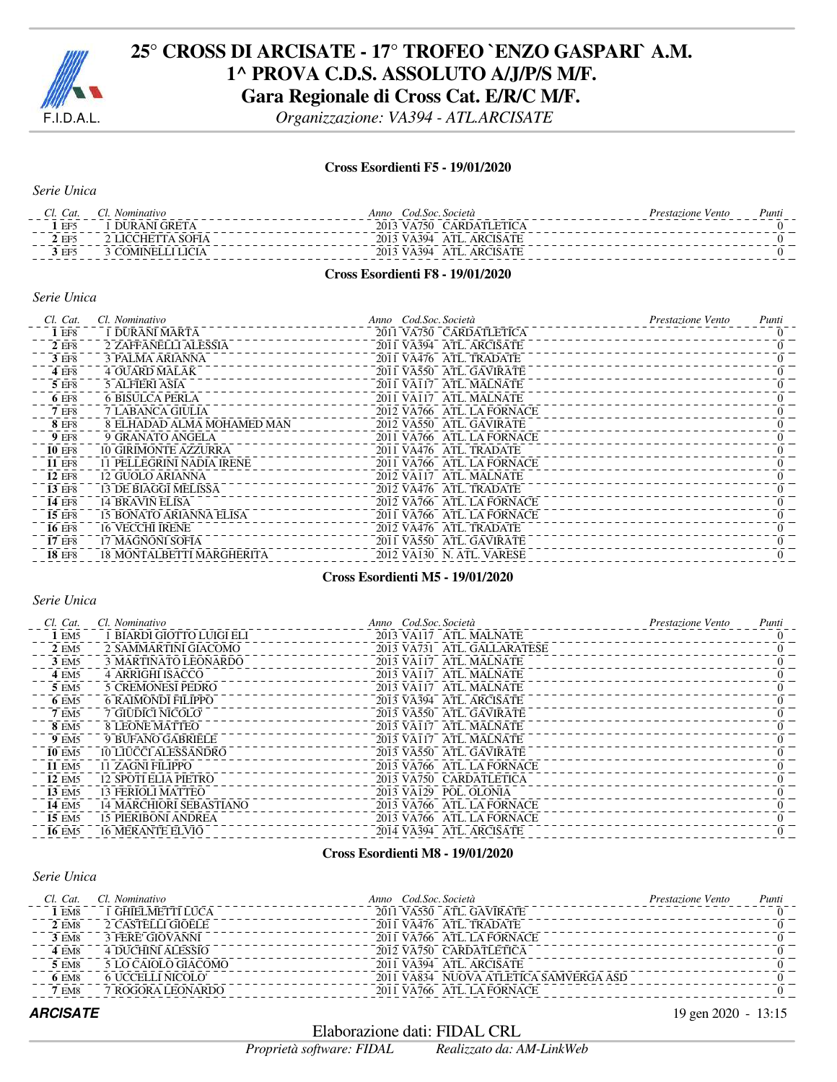

*Organizzazione: VA394 - ATL.ARCISATE*

#### **Cross Esordienti F5 - 19/01/2020**

*Serie Unica*

| Cat.            | <i>Nominativo</i> | Cod.Soc. Società<br>Anno           | <i>Prestazione Vento</i> | Punti |
|-----------------|-------------------|------------------------------------|--------------------------|-------|
| EF <sub>5</sub> | DURANI GRETA      | 2013 VA750 CARDATLETICA            |                          |       |
| . FF $\epsilon$ | 2 LICCHETTA SOFIA | 2013 VA394<br>ATL. ARCISATE        |                          |       |
| EE5             | 3 COMINELLI LICIA | <b>ATL. ARCISATE</b><br>2013 VA394 |                          |       |
|                 |                   |                                    |                          |       |

#### **Cross Esordienti F8 - 19/01/2020**

#### *Serie Unica*

| Cl. Cat.      | Cl. Nominativo                   | Anno Cod.Soc.Società       | <i>Prestazione Vento</i> | Punti |
|---------------|----------------------------------|----------------------------|--------------------------|-------|
| 1 EF8         | 1 DURANI MARTA                   | 2011 VA750 CARDATLETICA    |                          |       |
| 2 EF8         | 2 ZAFFANELLI ALESSIA             | 2011 VA394 ATL. ARCISATE   |                          |       |
| 3 EF8         | <b>3 PALMA ARIANNA</b>           | 2011 VA476 ATL. TRADATE    |                          |       |
| 4 EF8         | <b>4 OUARD MALAK</b>             | 2011 VA550 ATL. GAVIRATE   |                          |       |
| 5 EF8         | <b>5 ALFIERI ASIA</b>            | 2011 VA117 ATL, MALNATE    |                          |       |
| 6 EF8         | <b>6 BISULCA PERLA</b>           | 2011 VA117 ATL. MALNATE    |                          |       |
| 7 EF8         | 7 LABANCA GIULIA                 | 2012 VA766 ATL. LA FORNACE |                          |       |
| <b>8 EF8</b>  | 8 ELHADAD ALMA MOHAMED MAN       | 2012 VA550 ATL GAVIRATE    |                          |       |
| <b>9 EF8</b>  | 9 GRANATO ANGELA                 | 2011 VA766 ATL. LA FORNACE |                          |       |
| <b>10 EF8</b> | <b>10 GIRIMONTE AZZURRA</b>      | 2011 VA476 ATL. TRADATE    |                          |       |
| <b>11 EF8</b> | 11 PELLEGRINI NADIA IRENE        | 2011 VA766 ATL. LA FORNACE |                          |       |
| <b>12 EF8</b> | 12 GUOLO ARIANNA                 | 2012 VA117 ATL, MALNATE    |                          |       |
| 13 EF8        | 13 DE BIAGGI MELISSA             | 2012 VA476 ATL TRADATE     |                          |       |
| <b>14 EF8</b> | <b>14 BRAVIN ELISA</b>           | 2012 VA766 ATL. LA FORNACE |                          |       |
| 15 EF8        | 15 BONATO ARIANNA ELISA          | 2011 VA766 ATL LA FORNACE  |                          |       |
| <b>16 EF8</b> | <b>16 VECCHI IRENE</b>           | 2012 VA476 ATL TRADATE     |                          |       |
| 17 EF8        | 17 MAGNONI SOFIA                 | 2011 VA550 ATL. GAVIRATE   |                          |       |
| <b>18 EF8</b> | <b>18 MONTALBETTI MARGHERITA</b> | 2012 VA130 N. ATL. VARESE  |                          |       |
|               |                                  |                            |                          |       |

#### **Cross Esordienti M5 - 19/01/2020**

#### *Serie Unica*

| Cl. Cat.          | Cl. Nominativo                 | Anno Cod.Soc.Società         | <i>Prestazione Vento</i> | Punti      |
|-------------------|--------------------------------|------------------------------|--------------------------|------------|
| 1 EM5             | 1 BIARDI GIOTTO LUIGI ELI      | 2013 VA117 ATL MALNATE       |                          |            |
| 2 EM <sub>5</sub> | 2 SAMMARTINI GIACOMO           | 2013 VA731 ATL. GALLARATESE  |                          |            |
| 3 EM <sub>5</sub> | 3 MARTINATO LEONARDO           | ATL. MALNATE<br>2013 VA117   |                          |            |
| 4 EM5             | 4 ARRIGHI ISACCO               | 2013 VA117<br>- ATL. MALNATE |                          |            |
| 5 EM5             | <b>5 CREMONESI PEDRO</b>       | 2013 VA117 ATL MALNATE       |                          |            |
| 6 EM5             | <b>6 RAIMONDI FILIPPO</b>      | 2013 VA394 ATL. ARCISATE     |                          |            |
| <b>7 EM5</b>      | 7 GIUDICI NICOLO'              | 2013 VA550 ATL. GAVIRATE     |                          |            |
| <b>8 EM5</b>      | <b>8 LEONE MATTEO</b>          | 2013 VA117 ATL MALNATE       |                          |            |
| <b>9 EM5</b>      | 9 BUFANO GABRIELE              | 2013 VA117 ATL MALNATE       |                          |            |
| <b>10 EM5</b>     | <b>10 LIUCCI ALESSANDRO</b>    | 2013 VA550 ATL GAVIRATE      |                          | $^{\circ}$ |
| <b>11 EM5</b>     | 11 ZAGNI FILIPPO               | 2013 VA766 ATL. LA FORNACE   |                          |            |
| <b>12 EM5</b>     | 12 SPOTI ELIA PIETRO           | 2013 VA750 CARDATLETICA      |                          |            |
| 13 EM5            | 13 FERIOLI MATTEO              | 2013 VA129 POL. OLONIA       |                          |            |
| <b>14 EM5</b>     | <b>14 MARCHIORI SEBASTIANO</b> | 2013 VA766 ATL. LA FORNACE   |                          |            |
| 15 EM5            | <b>15 PIERIBONI ANDREA</b>     | 2013 VA766 ATL. LA FORNACE   |                          |            |
| 16 EM5            | <b>16 MERANTE ELVIO</b>        | 2014 VA394 ATL ARCISATE      |                          |            |

#### **Cross Esordienti M8 - 19/01/2020**

#### *Serie Unica*

| Cl. Cat.     | Cl. Nominativo           | Anno Cod Soc. Società                  | Prestazione Vento | Punti |
|--------------|--------------------------|----------------------------------------|-------------------|-------|
| 1 EM8        | 1 GHIELMETTI LUCA        | 2011 VA550 ATL GAVIRATE                |                   |       |
| <b>2 EM8</b> | 2 CASTELLI GIOELE        | 2011 VA476 ATL TRADATE                 |                   |       |
| <b>3 EM8</b> | <b>3 FERE' GIOVANNI</b>  | 2011 VA766 ATL LA FORNACE              |                   |       |
| <b>4 EM8</b> | <b>4 DUCHINI ALESSIO</b> | 2012 VA750 CARDATLETICA                |                   |       |
| 5 EM8        | 5 LO CAJOLO GIACOMO      | 2011 VA394 ATL ARCISATE                |                   |       |
| <b>6 EM8</b> | <b>6 UCCELLI NICOLO'</b> | 2011 VA834 NUOVA ATLETICA SAMVERGA ASD |                   |       |
| <b>7 EM8</b> | <b>7 ROGORA LEONARDO</b> | 2011 VA766 ATL LA FORNACE              |                   |       |
|              |                          |                                        |                   |       |

Elaborazione dati: FIDAL CRL

*Proprietà software: FIDAL Realizzato da: AM-LinkWeb*

**ARCISATE** 19 gen 2020 - 13:15